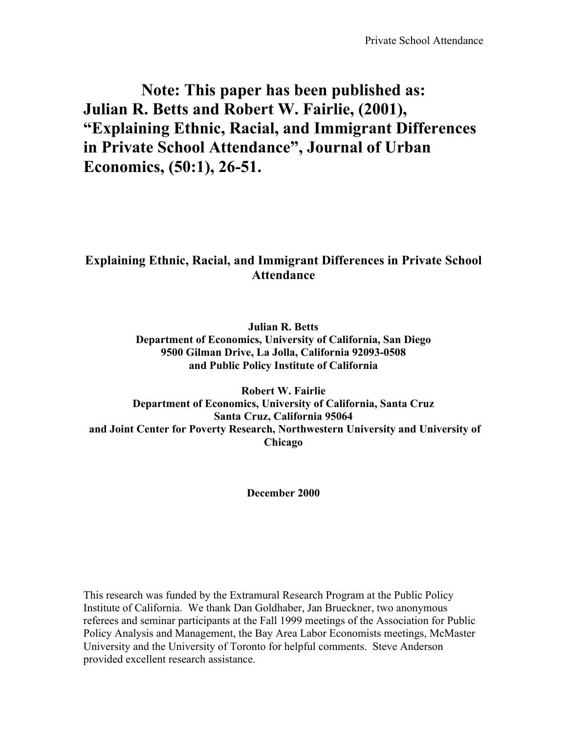# **Note: This paper has been published as: Julian R. Betts and Robert W. Fairlie, (2001), "Explaining Ethnic, Racial, and Immigrant Differences in Private School Attendance", Journal of Urban Economics, (50:1), 26-51.**

## **Explaining Ethnic, Racial, and Immigrant Differences in Private School Attendance**

**Julian R. Betts Department of Economics, University of California, San Diego 9500 Gilman Drive, La Jolla, California 92093-0508 and Public Policy Institute of California**

**Robert W. Fairlie Department of Economics, University of California, Santa Cruz Santa Cruz, California 95064 and Joint Center for Poverty Research, Northwestern University and University of Chicago**

**December 2000**

This research was funded by the Extramural Research Program at the Public Policy Institute of California. We thank Dan Goldhaber, Jan Brueckner, two anonymous referees and seminar participants at the Fall 1999 meetings of the Association for Public Policy Analysis and Management, the Bay Area Labor Economists meetings, McMaster University and the University of Toronto for helpful comments. Steve Anderson provided excellent research assistance.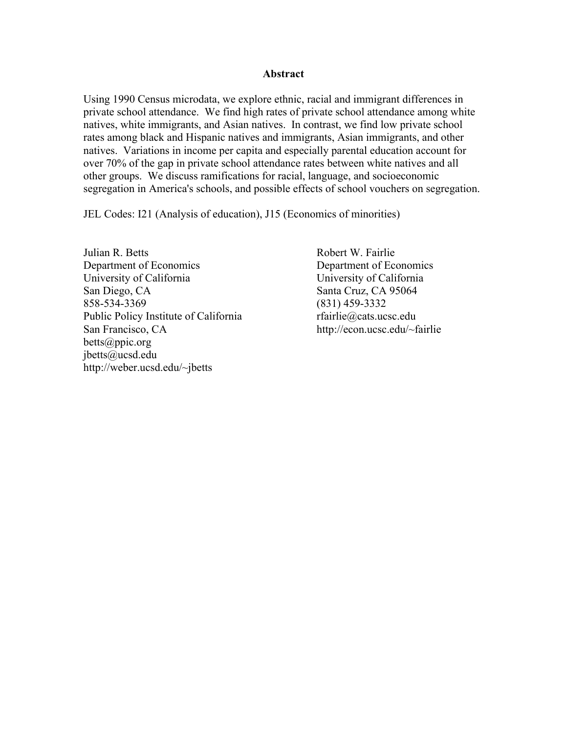### **Abstract**

Using 1990 Census microdata, we explore ethnic, racial and immigrant differences in private school attendance. We find high rates of private school attendance among white natives, white immigrants, and Asian natives. In contrast, we find low private school rates among black and Hispanic natives and immigrants, Asian immigrants, and other natives. Variations in income per capita and especially parental education account for over 70% of the gap in private school attendance rates between white natives and all other groups. We discuss ramifications for racial, language, and socioeconomic segregation in America's schools, and possible effects of school vouchers on segregation.

JEL Codes: I21 (Analysis of education), J15 (Economics of minorities)

Julian R. Betts Robert W. Fairlie Department of Economics Department of Economics University of California University of California San Diego, CA Santa Cruz, CA 95064 858-534-3369 (831) 459-3332 Public Policy Institute of California rfairlie@cats.ucsc.edu San Francisco, CA http://econ.ucsc.edu/~fairlie betts@ppic.org jbetts@ucsd.edu http://weber.ucsd.edu/~jbetts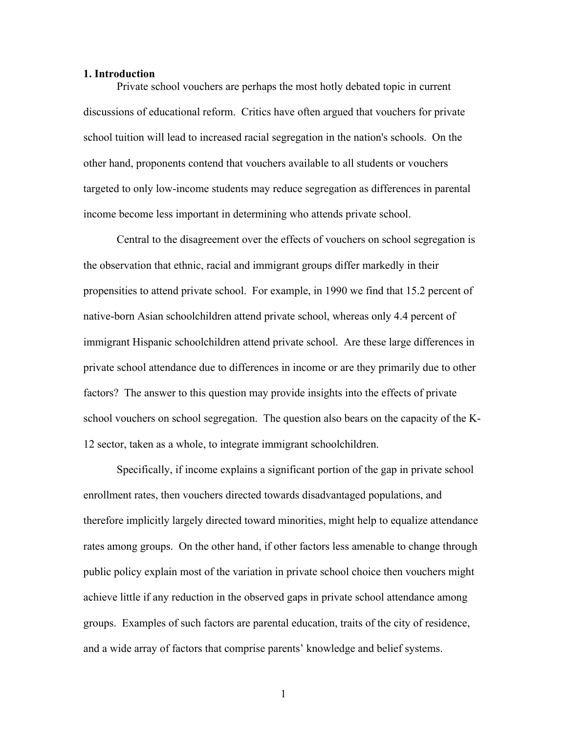#### **1. Introduction**

Private school vouchers are perhaps the most hotly debated topic in current discussions of educational reform. Critics have often argued that vouchers for private school tuition will lead to increased racial segregation in the nation's schools. On the other hand, proponents contend that vouchers available to all students or vouchers targeted to only low-income students may reduce segregation as differences in parental income become less important in determining who attends private school.

Central to the disagreement over the effects of vouchers on school segregation is the observation that ethnic, racial and immigrant groups differ markedly in their propensities to attend private school. For example, in 1990 we find that 15.2 percent of native-born Asian schoolchildren attend private school, whereas only 4.4 percent of immigrant Hispanic schoolchildren attend private school. Are these large differences in private school attendance due to differences in income or are they primarily due to other factors? The answer to this question may provide insights into the effects of private school vouchers on school segregation. The question also bears on the capacity of the K-12 sector, taken as a whole, to integrate immigrant schoolchildren.

Specifically, if income explains a significant portion of the gap in private school enrollment rates, then vouchers directed towards disadvantaged populations, and therefore implicitly largely directed toward minorities, might help to equalize attendance rates among groups. On the other hand, if other factors less amenable to change through public policy explain most of the variation in private school choice then vouchers might achieve little if any reduction in the observed gaps in private school attendance among groups. Examples of such factors are parental education, traits of the city of residence, and a wide array of factors that comprise parents' knowledge and belief systems.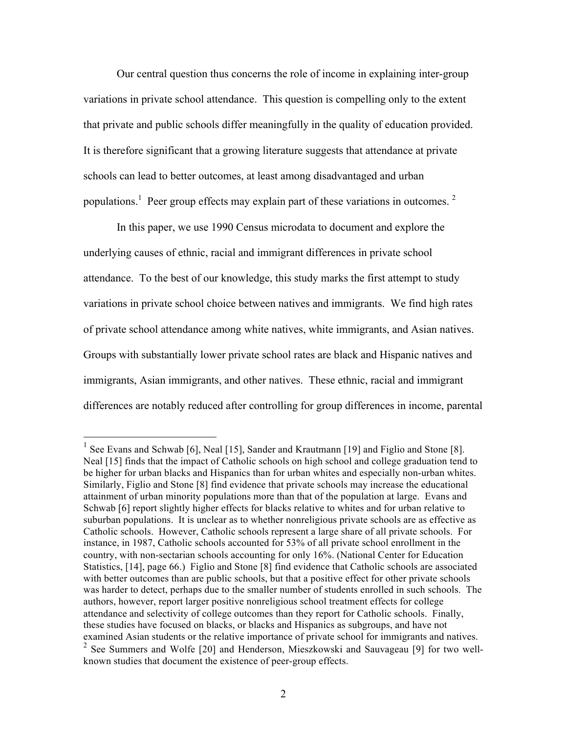Our central question thus concerns the role of income in explaining inter-group variations in private school attendance. This question is compelling only to the extent that private and public schools differ meaningfully in the quality of education provided. It is therefore significant that a growing literature suggests that attendance at private schools can lead to better outcomes, at least among disadvantaged and urban populations.<sup>1</sup> Peer group effects may explain part of these variations in outcomes.<sup>2</sup>

In this paper, we use 1990 Census microdata to document and explore the underlying causes of ethnic, racial and immigrant differences in private school attendance. To the best of our knowledge, this study marks the first attempt to study variations in private school choice between natives and immigrants. We find high rates of private school attendance among white natives, white immigrants, and Asian natives. Groups with substantially lower private school rates are black and Hispanic natives and immigrants, Asian immigrants, and other natives. These ethnic, racial and immigrant differences are notably reduced after controlling for group differences in income, parental

<sup>&</sup>lt;sup>1</sup> See Evans and Schwab [6], Neal [15], Sander and Krautmann [19] and Figlio and Stone [8]. Neal [15] finds that the impact of Catholic schools on high school and college graduation tend to be higher for urban blacks and Hispanics than for urban whites and especially non-urban whites. Similarly, Figlio and Stone [8] find evidence that private schools may increase the educational attainment of urban minority populations more than that of the population at large. Evans and Schwab [6] report slightly higher effects for blacks relative to whites and for urban relative to suburban populations. It is unclear as to whether nonreligious private schools are as effective as Catholic schools. However, Catholic schools represent a large share of all private schools. For instance, in 1987, Catholic schools accounted for 53% of all private school enrollment in the country, with non-sectarian schools accounting for only 16%. (National Center for Education Statistics, [14], page 66.) Figlio and Stone [8] find evidence that Catholic schools are associated with better outcomes than are public schools, but that a positive effect for other private schools was harder to detect, perhaps due to the smaller number of students enrolled in such schools. The authors, however, report larger positive nonreligious school treatment effects for college attendance and selectivity of college outcomes than they report for Catholic schools. Finally, these studies have focused on blacks, or blacks and Hispanics as subgroups, and have not examined Asian students or the relative importance of private school for immigrants and natives. <sup>2</sup> See Summers and Wolfe [20] and Henderson, Mieszkowski and Sauvageau [9] for two wellknown studies that document the existence of peer-group effects.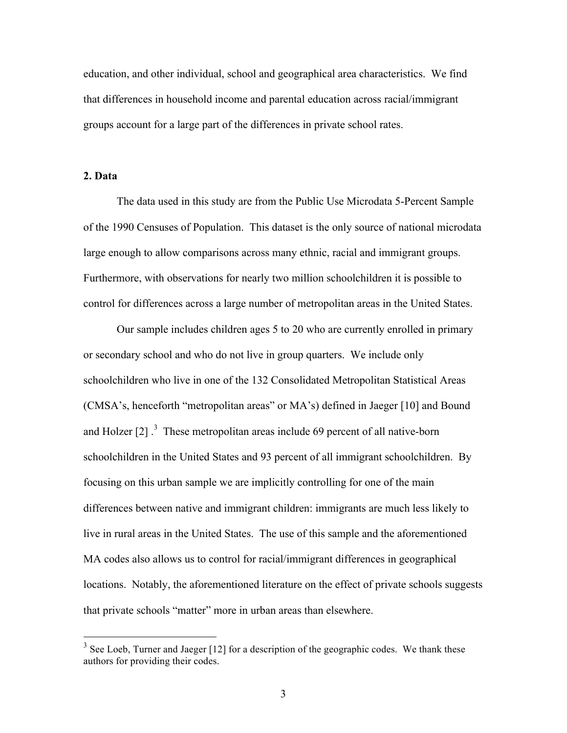education, and other individual, school and geographical area characteristics. We find that differences in household income and parental education across racial/immigrant groups account for a large part of the differences in private school rates.

### **2. Data**

The data used in this study are from the Public Use Microdata 5-Percent Sample of the 1990 Censuses of Population. This dataset is the only source of national microdata large enough to allow comparisons across many ethnic, racial and immigrant groups. Furthermore, with observations for nearly two million schoolchildren it is possible to control for differences across a large number of metropolitan areas in the United States.

Our sample includes children ages 5 to 20 who are currently enrolled in primary or secondary school and who do not live in group quarters. We include only schoolchildren who live in one of the 132 Consolidated Metropolitan Statistical Areas (CMSA's, henceforth "metropolitan areas" or MA's) defined in Jaeger [10] and Bound and Holzer  $[2]$ .<sup>3</sup> These metropolitan areas include 69 percent of all native-born schoolchildren in the United States and 93 percent of all immigrant schoolchildren. By focusing on this urban sample we are implicitly controlling for one of the main differences between native and immigrant children: immigrants are much less likely to live in rural areas in the United States. The use of this sample and the aforementioned MA codes also allows us to control for racial/immigrant differences in geographical locations. Notably, the aforementioned literature on the effect of private schools suggests that private schools "matter" more in urban areas than elsewhere.

 $3$  See Loeb, Turner and Jaeger [12] for a description of the geographic codes. We thank these authors for providing their codes.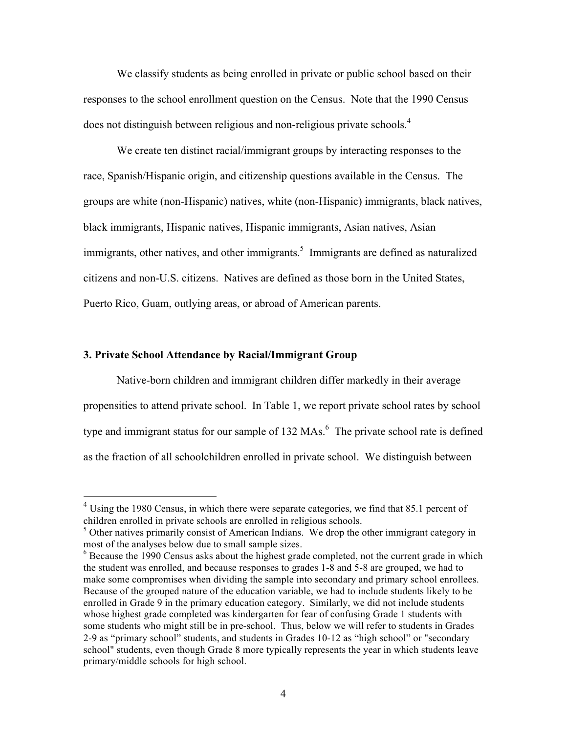We classify students as being enrolled in private or public school based on their responses to the school enrollment question on the Census. Note that the 1990 Census does not distinguish between religious and non-religious private schools.<sup>4</sup>

We create ten distinct racial/immigrant groups by interacting responses to the race, Spanish/Hispanic origin, and citizenship questions available in the Census. The groups are white (non-Hispanic) natives, white (non-Hispanic) immigrants, black natives, black immigrants, Hispanic natives, Hispanic immigrants, Asian natives, Asian immigrants, other natives, and other immigrants.<sup>5</sup> Immigrants are defined as naturalized citizens and non-U.S. citizens. Natives are defined as those born in the United States, Puerto Rico, Guam, outlying areas, or abroad of American parents.

### **3. Private School Attendance by Racial/Immigrant Group**

Native-born children and immigrant children differ markedly in their average propensities to attend private school. In Table 1, we report private school rates by school type and immigrant status for our sample of  $132$  MAs.<sup>6</sup> The private school rate is defined as the fraction of all schoolchildren enrolled in private school. We distinguish between

<sup>&</sup>lt;sup>4</sup> Using the 1980 Census, in which there were separate categories, we find that 85.1 percent of children enrolled in private schools are enrolled in religious schools.

 $5$  Other natives primarily consist of American Indians. We drop the other immigrant category in most of the analyses below due to small sample sizes.

 $6$  Because the 1990 Census asks about the highest grade completed, not the current grade in which the student was enrolled, and because responses to grades 1-8 and 5-8 are grouped, we had to make some compromises when dividing the sample into secondary and primary school enrollees. Because of the grouped nature of the education variable, we had to include students likely to be enrolled in Grade 9 in the primary education category. Similarly, we did not include students whose highest grade completed was kindergarten for fear of confusing Grade 1 students with some students who might still be in pre-school. Thus, below we will refer to students in Grades 2-9 as "primary school" students, and students in Grades 10-12 as "high school" or "secondary school" students, even though Grade 8 more typically represents the year in which students leave primary/middle schools for high school.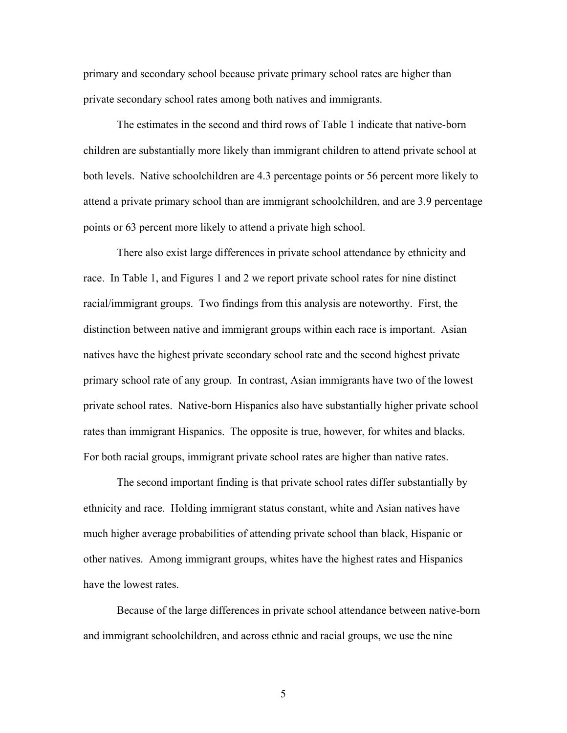primary and secondary school because private primary school rates are higher than private secondary school rates among both natives and immigrants.

The estimates in the second and third rows of Table 1 indicate that native-born children are substantially more likely than immigrant children to attend private school at both levels. Native schoolchildren are 4.3 percentage points or 56 percent more likely to attend a private primary school than are immigrant schoolchildren, and are 3.9 percentage points or 63 percent more likely to attend a private high school.

There also exist large differences in private school attendance by ethnicity and race. In Table 1, and Figures 1 and 2 we report private school rates for nine distinct racial/immigrant groups. Two findings from this analysis are noteworthy. First, the distinction between native and immigrant groups within each race is important. Asian natives have the highest private secondary school rate and the second highest private primary school rate of any group. In contrast, Asian immigrants have two of the lowest private school rates. Native-born Hispanics also have substantially higher private school rates than immigrant Hispanics. The opposite is true, however, for whites and blacks. For both racial groups, immigrant private school rates are higher than native rates.

The second important finding is that private school rates differ substantially by ethnicity and race. Holding immigrant status constant, white and Asian natives have much higher average probabilities of attending private school than black, Hispanic or other natives. Among immigrant groups, whites have the highest rates and Hispanics have the lowest rates.

Because of the large differences in private school attendance between native-born and immigrant schoolchildren, and across ethnic and racial groups, we use the nine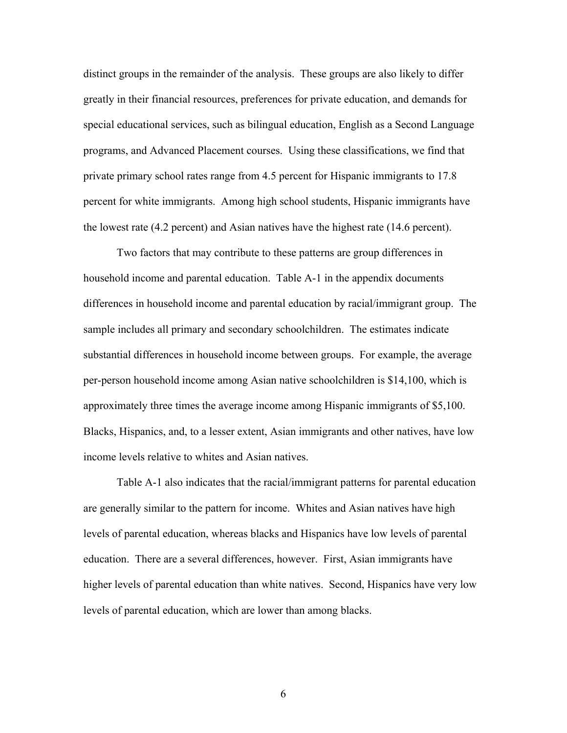distinct groups in the remainder of the analysis. These groups are also likely to differ greatly in their financial resources, preferences for private education, and demands for special educational services, such as bilingual education, English as a Second Language programs, and Advanced Placement courses. Using these classifications, we find that private primary school rates range from 4.5 percent for Hispanic immigrants to 17.8 percent for white immigrants. Among high school students, Hispanic immigrants have the lowest rate (4.2 percent) and Asian natives have the highest rate (14.6 percent).

Two factors that may contribute to these patterns are group differences in household income and parental education. Table A-1 in the appendix documents differences in household income and parental education by racial/immigrant group. The sample includes all primary and secondary schoolchildren. The estimates indicate substantial differences in household income between groups. For example, the average per-person household income among Asian native schoolchildren is \$14,100, which is approximately three times the average income among Hispanic immigrants of \$5,100. Blacks, Hispanics, and, to a lesser extent, Asian immigrants and other natives, have low income levels relative to whites and Asian natives.

Table A-1 also indicates that the racial/immigrant patterns for parental education are generally similar to the pattern for income. Whites and Asian natives have high levels of parental education, whereas blacks and Hispanics have low levels of parental education. There are a several differences, however. First, Asian immigrants have higher levels of parental education than white natives. Second, Hispanics have very low levels of parental education, which are lower than among blacks.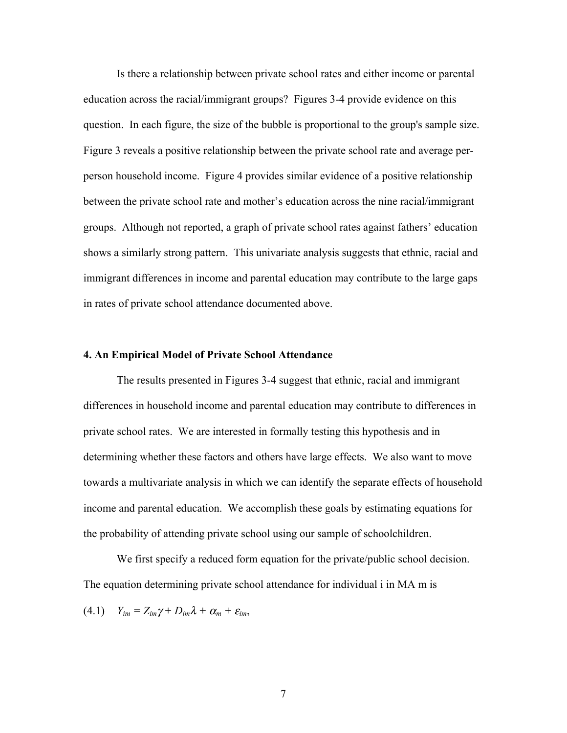Is there a relationship between private school rates and either income or parental education across the racial/immigrant groups? Figures 3-4 provide evidence on this question. In each figure, the size of the bubble is proportional to the group's sample size. Figure 3 reveals a positive relationship between the private school rate and average perperson household income. Figure 4 provides similar evidence of a positive relationship between the private school rate and mother's education across the nine racial/immigrant groups. Although not reported, a graph of private school rates against fathers' education shows a similarly strong pattern. This univariate analysis suggests that ethnic, racial and immigrant differences in income and parental education may contribute to the large gaps in rates of private school attendance documented above.

#### **4. An Empirical Model of Private School Attendance**

The results presented in Figures 3-4 suggest that ethnic, racial and immigrant differences in household income and parental education may contribute to differences in private school rates. We are interested in formally testing this hypothesis and in determining whether these factors and others have large effects. We also want to move towards a multivariate analysis in which we can identify the separate effects of household income and parental education. We accomplish these goals by estimating equations for the probability of attending private school using our sample of schoolchildren.

We first specify a reduced form equation for the private/public school decision. The equation determining private school attendance for individual i in MA m is

(4.1)  $Y_{im} = Z_{im}\gamma + D_{im}\lambda + \alpha_m + \varepsilon_{im}$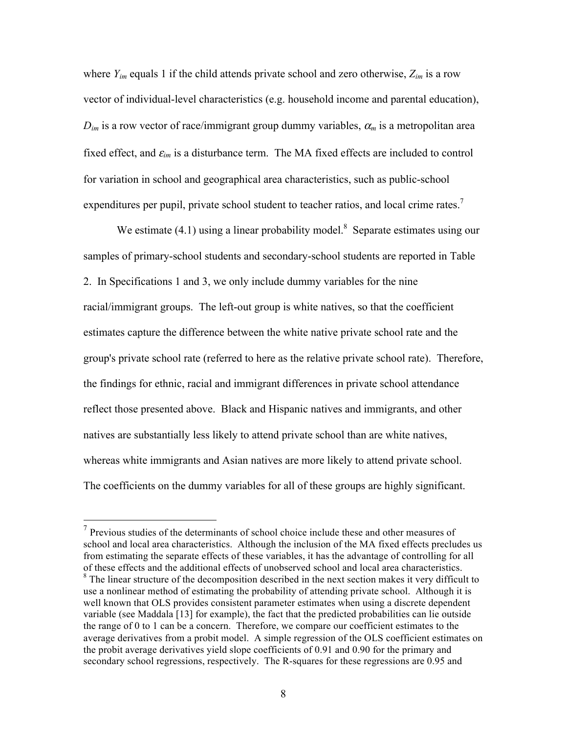where *Yim* equals 1 if the child attends private school and zero otherwise, *Zim* is a row vector of individual-level characteristics (e.g. household income and parental education),  $D_{im}$  is a row vector of race/immigrant group dummy variables,  $\alpha_m$  is a metropolitan area fixed effect, and  $\varepsilon_{im}$  is a disturbance term. The MA fixed effects are included to control for variation in school and geographical area characteristics, such as public-school expenditures per pupil, private school student to teacher ratios, and local crime rates.<sup>7</sup>

We estimate  $(4.1)$  using a linear probability model.<sup>8</sup> Separate estimates using our samples of primary-school students and secondary-school students are reported in Table 2. In Specifications 1 and 3, we only include dummy variables for the nine racial/immigrant groups. The left-out group is white natives, so that the coefficient estimates capture the difference between the white native private school rate and the group's private school rate (referred to here as the relative private school rate). Therefore, the findings for ethnic, racial and immigrant differences in private school attendance reflect those presented above. Black and Hispanic natives and immigrants, and other natives are substantially less likely to attend private school than are white natives, whereas white immigrants and Asian natives are more likely to attend private school. The coefficients on the dummy variables for all of these groups are highly significant.

 <sup>7</sup> Previous studies of the determinants of school choice include these and other measures of school and local area characteristics. Although the inclusion of the MA fixed effects precludes us from estimating the separate effects of these variables, it has the advantage of controlling for all of these effects and the additional effects of unobserved school and local area characteristics. <sup>8</sup> The linear structure of the decomposition described in the next section makes it very difficult to use a nonlinear method of estimating the probability of attending private school. Although it is well known that OLS provides consistent parameter estimates when using a discrete dependent variable (see Maddala [13] for example), the fact that the predicted probabilities can lie outside the range of 0 to 1 can be a concern. Therefore, we compare our coefficient estimates to the average derivatives from a probit model. A simple regression of the OLS coefficient estimates on the probit average derivatives yield slope coefficients of 0.91 and 0.90 for the primary and secondary school regressions, respectively. The R-squares for these regressions are 0.95 and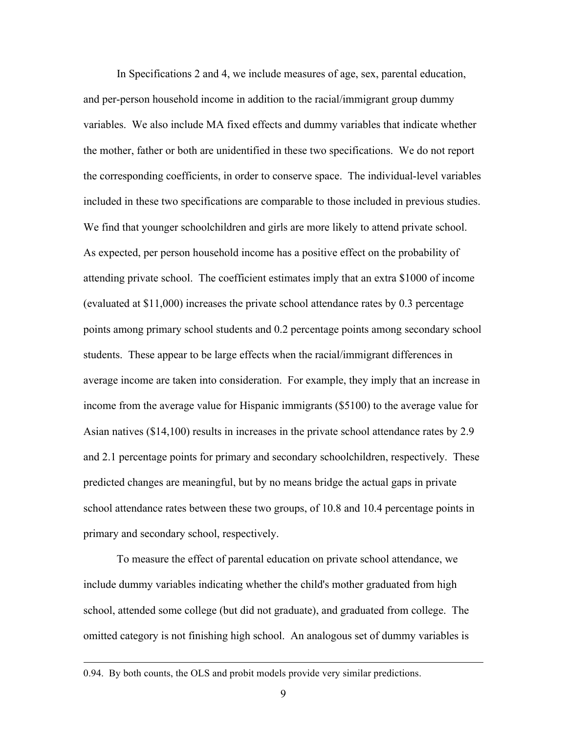In Specifications 2 and 4, we include measures of age, sex, parental education, and per-person household income in addition to the racial/immigrant group dummy variables. We also include MA fixed effects and dummy variables that indicate whether the mother, father or both are unidentified in these two specifications. We do not report the corresponding coefficients, in order to conserve space. The individual-level variables included in these two specifications are comparable to those included in previous studies. We find that younger schoolchildren and girls are more likely to attend private school. As expected, per person household income has a positive effect on the probability of attending private school. The coefficient estimates imply that an extra \$1000 of income (evaluated at \$11,000) increases the private school attendance rates by 0.3 percentage points among primary school students and 0.2 percentage points among secondary school students. These appear to be large effects when the racial/immigrant differences in average income are taken into consideration. For example, they imply that an increase in income from the average value for Hispanic immigrants (\$5100) to the average value for Asian natives (\$14,100) results in increases in the private school attendance rates by 2.9 and 2.1 percentage points for primary and secondary schoolchildren, respectively. These predicted changes are meaningful, but by no means bridge the actual gaps in private school attendance rates between these two groups, of 10.8 and 10.4 percentage points in primary and secondary school, respectively.

To measure the effect of parental education on private school attendance, we include dummy variables indicating whether the child's mother graduated from high school, attended some college (but did not graduate), and graduated from college. The omitted category is not finishing high school. An analogous set of dummy variables is

 $\overline{a}$ 

<sup>0.94.</sup> By both counts, the OLS and probit models provide very similar predictions.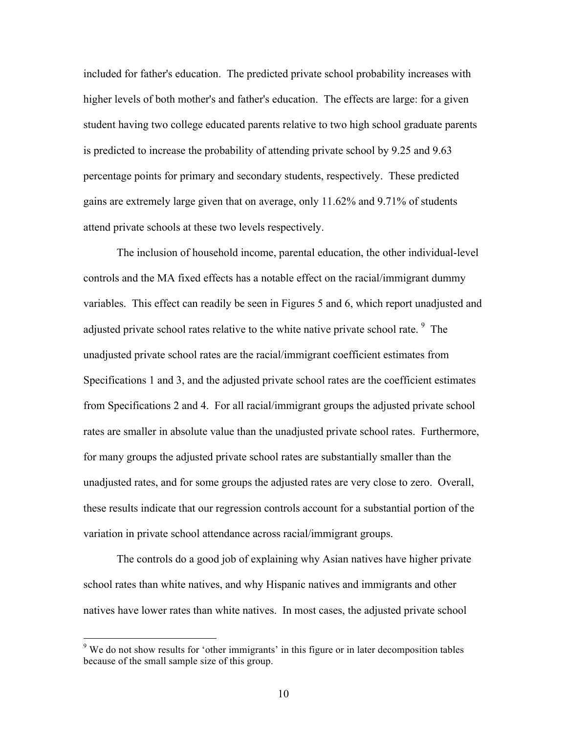included for father's education. The predicted private school probability increases with higher levels of both mother's and father's education. The effects are large: for a given student having two college educated parents relative to two high school graduate parents is predicted to increase the probability of attending private school by 9.25 and 9.63 percentage points for primary and secondary students, respectively. These predicted gains are extremely large given that on average, only 11.62% and 9.71% of students attend private schools at these two levels respectively.

The inclusion of household income, parental education, the other individual-level controls and the MA fixed effects has a notable effect on the racial/immigrant dummy variables. This effect can readily be seen in Figures 5 and 6, which report unadjusted and adjusted private school rates relative to the white native private school rate. <sup>9</sup> The unadjusted private school rates are the racial/immigrant coefficient estimates from Specifications 1 and 3, and the adjusted private school rates are the coefficient estimates from Specifications 2 and 4. For all racial/immigrant groups the adjusted private school rates are smaller in absolute value than the unadjusted private school rates. Furthermore, for many groups the adjusted private school rates are substantially smaller than the unadjusted rates, and for some groups the adjusted rates are very close to zero. Overall, these results indicate that our regression controls account for a substantial portion of the variation in private school attendance across racial/immigrant groups.

The controls do a good job of explaining why Asian natives have higher private school rates than white natives, and why Hispanic natives and immigrants and other natives have lower rates than white natives. In most cases, the adjusted private school

<sup>&</sup>lt;sup>9</sup> We do not show results for 'other immigrants' in this figure or in later decomposition tables because of the small sample size of this group.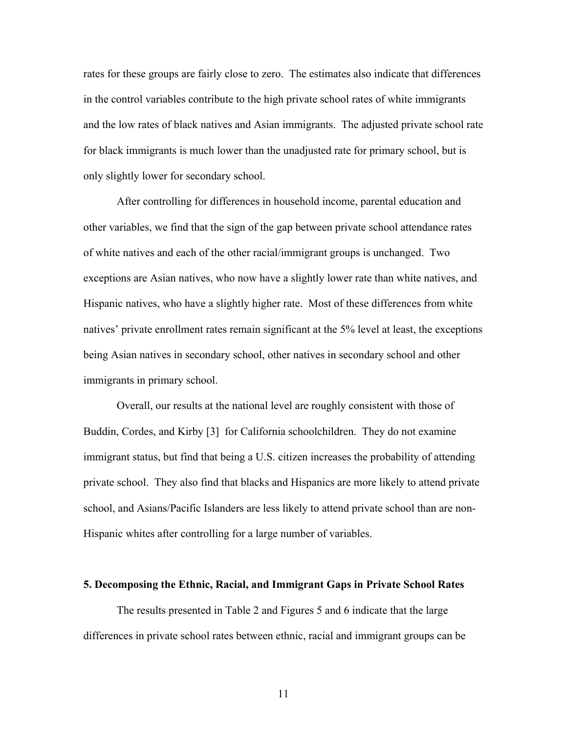rates for these groups are fairly close to zero. The estimates also indicate that differences in the control variables contribute to the high private school rates of white immigrants and the low rates of black natives and Asian immigrants. The adjusted private school rate for black immigrants is much lower than the unadjusted rate for primary school, but is only slightly lower for secondary school.

After controlling for differences in household income, parental education and other variables, we find that the sign of the gap between private school attendance rates of white natives and each of the other racial/immigrant groups is unchanged. Two exceptions are Asian natives, who now have a slightly lower rate than white natives, and Hispanic natives, who have a slightly higher rate. Most of these differences from white natives' private enrollment rates remain significant at the 5% level at least, the exceptions being Asian natives in secondary school, other natives in secondary school and other immigrants in primary school.

Overall, our results at the national level are roughly consistent with those of Buddin, Cordes, and Kirby [3] for California schoolchildren. They do not examine immigrant status, but find that being a U.S. citizen increases the probability of attending private school. They also find that blacks and Hispanics are more likely to attend private school, and Asians/Pacific Islanders are less likely to attend private school than are non-Hispanic whites after controlling for a large number of variables.

#### **5. Decomposing the Ethnic, Racial, and Immigrant Gaps in Private School Rates**

The results presented in Table 2 and Figures 5 and 6 indicate that the large differences in private school rates between ethnic, racial and immigrant groups can be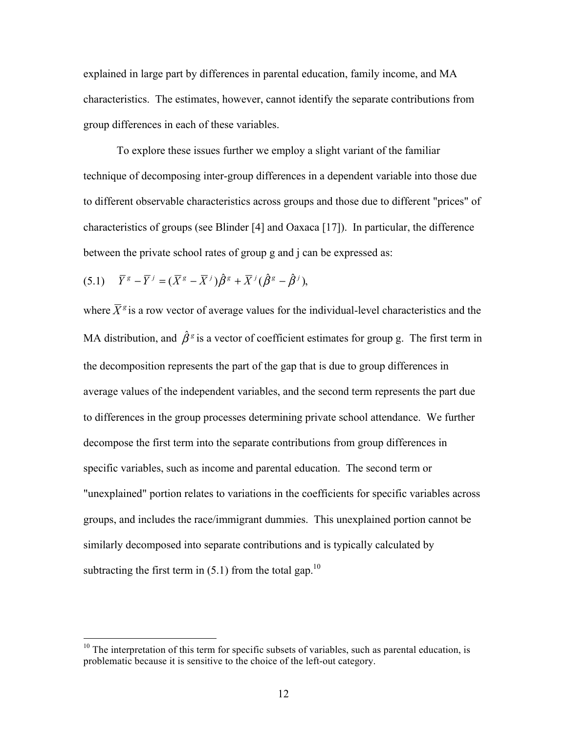explained in large part by differences in parental education, family income, and MA characteristics. The estimates, however, cannot identify the separate contributions from group differences in each of these variables.

To explore these issues further we employ a slight variant of the familiar technique of decomposing inter-group differences in a dependent variable into those due to different observable characteristics across groups and those due to different "prices" of characteristics of groups (see Blinder [4] and Oaxaca [17]). In particular, the difference between the private school rates of group g and j can be expressed as:

$$
(5.1) \quad \bar{Y}^s - \bar{Y}^j = (\bar{X}^s - \bar{X}^j)\hat{\beta}^s + \bar{X}^j(\hat{\beta}^s - \hat{\beta}^j),
$$

where  $\bar{X}^g$  is a row vector of average values for the individual-level characteristics and the MA distribution, and  $\hat{\beta}^s$  is a vector of coefficient estimates for group g. The first term in the decomposition represents the part of the gap that is due to group differences in average values of the independent variables, and the second term represents the part due to differences in the group processes determining private school attendance. We further decompose the first term into the separate contributions from group differences in specific variables, such as income and parental education. The second term or "unexplained" portion relates to variations in the coefficients for specific variables across groups, and includes the race/immigrant dummies. This unexplained portion cannot be similarly decomposed into separate contributions and is typically calculated by subtracting the first term in  $(5.1)$  from the total gap.<sup>10</sup>

 $10$  The interpretation of this term for specific subsets of variables, such as parental education, is problematic because it is sensitive to the choice of the left-out category.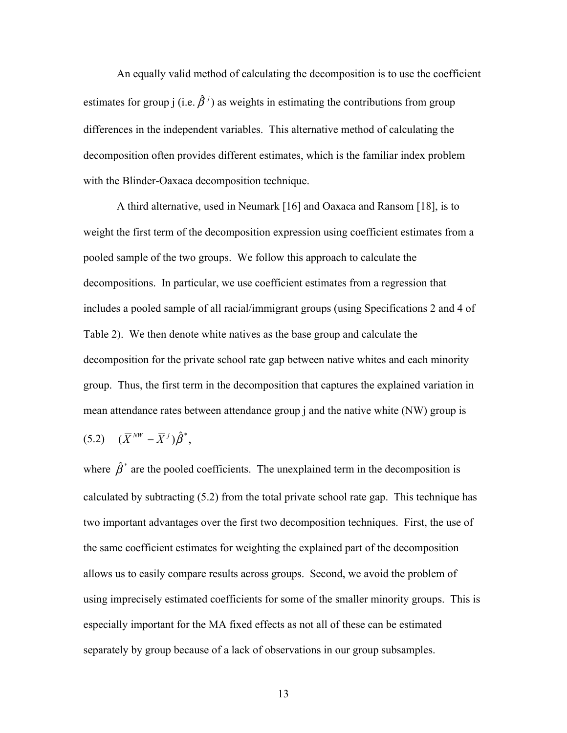An equally valid method of calculating the decomposition is to use the coefficient estimates for group j (i.e.  $\hat{\beta}^j$ ) as weights in estimating the contributions from group differences in the independent variables. This alternative method of calculating the decomposition often provides different estimates, which is the familiar index problem with the Blinder-Oaxaca decomposition technique.

A third alternative, used in Neumark [16] and Oaxaca and Ransom [18], is to weight the first term of the decomposition expression using coefficient estimates from a pooled sample of the two groups. We follow this approach to calculate the decompositions. In particular, we use coefficient estimates from a regression that includes a pooled sample of all racial/immigrant groups (using Specifications 2 and 4 of Table 2). We then denote white natives as the base group and calculate the decomposition for the private school rate gap between native whites and each minority group. Thus, the first term in the decomposition that captures the explained variation in mean attendance rates between attendance group j and the native white (NW) group is

$$
(5.2) \quad (\overline{X}^{NW} - \overline{X}^j)\hat{\beta}^*,
$$

where  $\hat{\beta}^*$  are the pooled coefficients. The unexplained term in the decomposition is calculated by subtracting (5.2) from the total private school rate gap. This technique has two important advantages over the first two decomposition techniques. First, the use of the same coefficient estimates for weighting the explained part of the decomposition allows us to easily compare results across groups. Second, we avoid the problem of using imprecisely estimated coefficients for some of the smaller minority groups. This is especially important for the MA fixed effects as not all of these can be estimated separately by group because of a lack of observations in our group subsamples.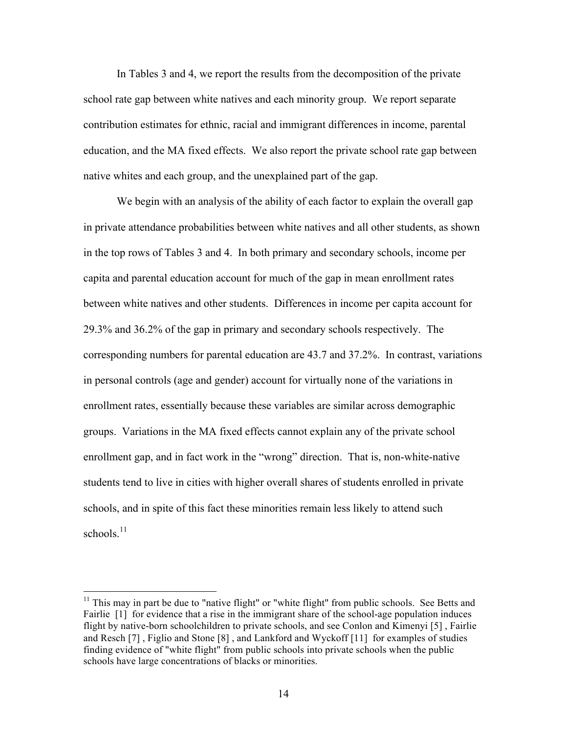In Tables 3 and 4, we report the results from the decomposition of the private school rate gap between white natives and each minority group. We report separate contribution estimates for ethnic, racial and immigrant differences in income, parental education, and the MA fixed effects. We also report the private school rate gap between native whites and each group, and the unexplained part of the gap.

We begin with an analysis of the ability of each factor to explain the overall gap in private attendance probabilities between white natives and all other students, as shown in the top rows of Tables 3 and 4. In both primary and secondary schools, income per capita and parental education account for much of the gap in mean enrollment rates between white natives and other students. Differences in income per capita account for 29.3% and 36.2% of the gap in primary and secondary schools respectively. The corresponding numbers for parental education are 43.7 and 37.2%. In contrast, variations in personal controls (age and gender) account for virtually none of the variations in enrollment rates, essentially because these variables are similar across demographic groups. Variations in the MA fixed effects cannot explain any of the private school enrollment gap, and in fact work in the "wrong" direction. That is, non-white-native students tend to live in cities with higher overall shares of students enrolled in private schools, and in spite of this fact these minorities remain less likely to attend such schools. $11$ 

<sup>&</sup>lt;sup>11</sup> This may in part be due to "native flight" or "white flight" from public schools. See Betts and Fairlie [1] for evidence that a rise in the immigrant share of the school-age population induces flight by native-born schoolchildren to private schools, and see Conlon and Kimenyi [5] , Fairlie and Resch [7] , Figlio and Stone [8] , and Lankford and Wyckoff [11] for examples of studies finding evidence of "white flight" from public schools into private schools when the public schools have large concentrations of blacks or minorities.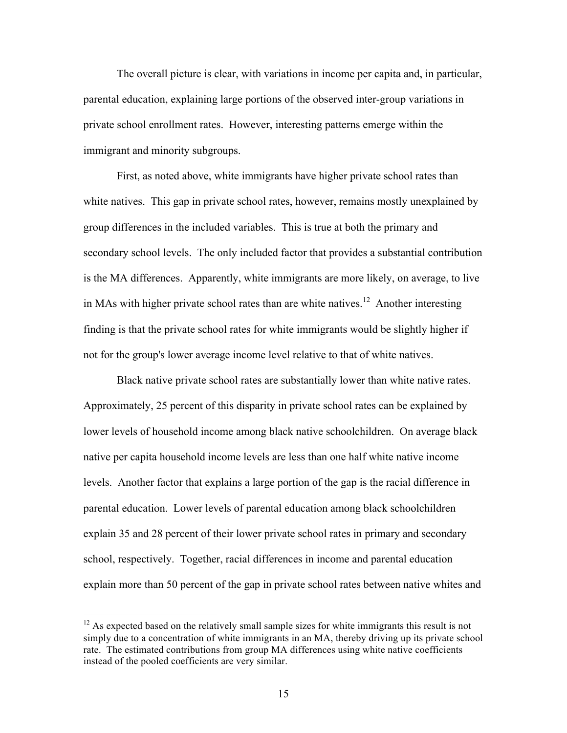The overall picture is clear, with variations in income per capita and, in particular, parental education, explaining large portions of the observed inter-group variations in private school enrollment rates. However, interesting patterns emerge within the immigrant and minority subgroups.

First, as noted above, white immigrants have higher private school rates than white natives. This gap in private school rates, however, remains mostly unexplained by group differences in the included variables. This is true at both the primary and secondary school levels. The only included factor that provides a substantial contribution is the MA differences. Apparently, white immigrants are more likely, on average, to live in MAs with higher private school rates than are white natives.<sup>12</sup> Another interesting finding is that the private school rates for white immigrants would be slightly higher if not for the group's lower average income level relative to that of white natives.

Black native private school rates are substantially lower than white native rates. Approximately, 25 percent of this disparity in private school rates can be explained by lower levels of household income among black native schoolchildren. On average black native per capita household income levels are less than one half white native income levels. Another factor that explains a large portion of the gap is the racial difference in parental education. Lower levels of parental education among black schoolchildren explain 35 and 28 percent of their lower private school rates in primary and secondary school, respectively. Together, racial differences in income and parental education explain more than 50 percent of the gap in private school rates between native whites and

<sup>&</sup>lt;sup>12</sup> As expected based on the relatively small sample sizes for white immigrants this result is not simply due to a concentration of white immigrants in an MA, thereby driving up its private school rate. The estimated contributions from group MA differences using white native coefficients instead of the pooled coefficients are very similar.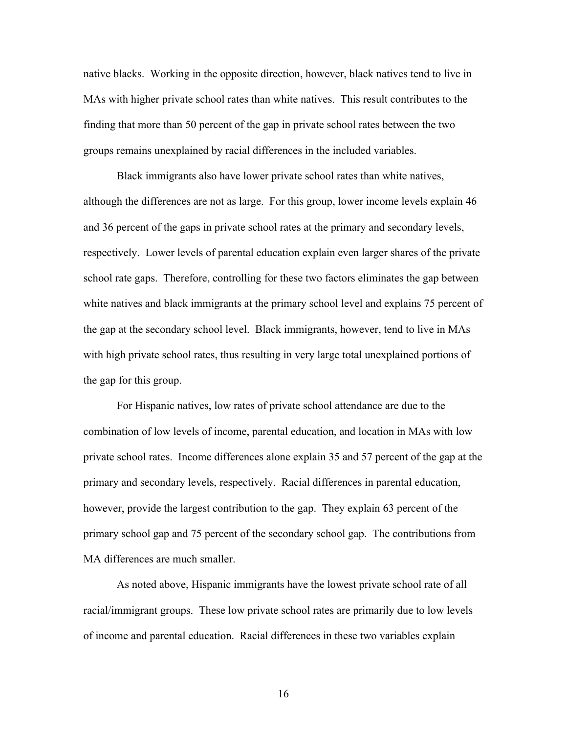native blacks. Working in the opposite direction, however, black natives tend to live in MAs with higher private school rates than white natives. This result contributes to the finding that more than 50 percent of the gap in private school rates between the two groups remains unexplained by racial differences in the included variables.

Black immigrants also have lower private school rates than white natives, although the differences are not as large. For this group, lower income levels explain 46 and 36 percent of the gaps in private school rates at the primary and secondary levels, respectively. Lower levels of parental education explain even larger shares of the private school rate gaps. Therefore, controlling for these two factors eliminates the gap between white natives and black immigrants at the primary school level and explains 75 percent of the gap at the secondary school level. Black immigrants, however, tend to live in MAs with high private school rates, thus resulting in very large total unexplained portions of the gap for this group.

For Hispanic natives, low rates of private school attendance are due to the combination of low levels of income, parental education, and location in MAs with low private school rates. Income differences alone explain 35 and 57 percent of the gap at the primary and secondary levels, respectively. Racial differences in parental education, however, provide the largest contribution to the gap. They explain 63 percent of the primary school gap and 75 percent of the secondary school gap. The contributions from MA differences are much smaller.

As noted above, Hispanic immigrants have the lowest private school rate of all racial/immigrant groups. These low private school rates are primarily due to low levels of income and parental education. Racial differences in these two variables explain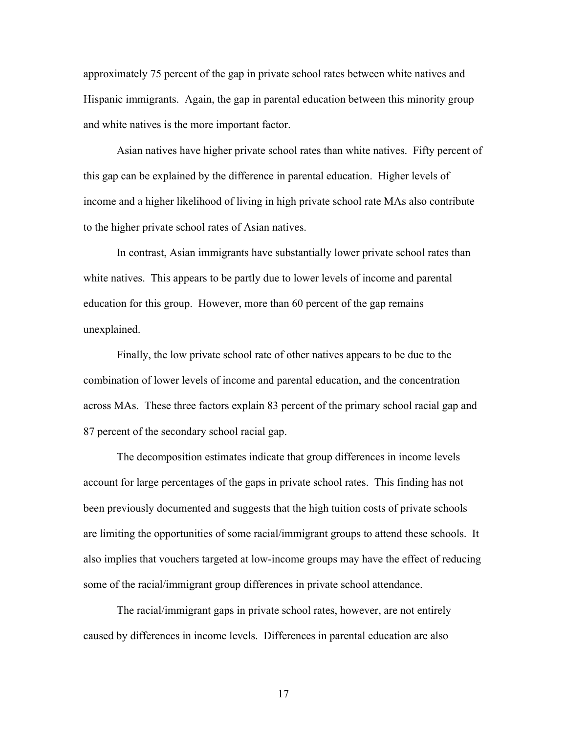approximately 75 percent of the gap in private school rates between white natives and Hispanic immigrants. Again, the gap in parental education between this minority group and white natives is the more important factor.

Asian natives have higher private school rates than white natives. Fifty percent of this gap can be explained by the difference in parental education. Higher levels of income and a higher likelihood of living in high private school rate MAs also contribute to the higher private school rates of Asian natives.

In contrast, Asian immigrants have substantially lower private school rates than white natives. This appears to be partly due to lower levels of income and parental education for this group. However, more than 60 percent of the gap remains unexplained.

Finally, the low private school rate of other natives appears to be due to the combination of lower levels of income and parental education, and the concentration across MAs. These three factors explain 83 percent of the primary school racial gap and 87 percent of the secondary school racial gap.

The decomposition estimates indicate that group differences in income levels account for large percentages of the gaps in private school rates. This finding has not been previously documented and suggests that the high tuition costs of private schools are limiting the opportunities of some racial/immigrant groups to attend these schools. It also implies that vouchers targeted at low-income groups may have the effect of reducing some of the racial/immigrant group differences in private school attendance.

The racial/immigrant gaps in private school rates, however, are not entirely caused by differences in income levels. Differences in parental education are also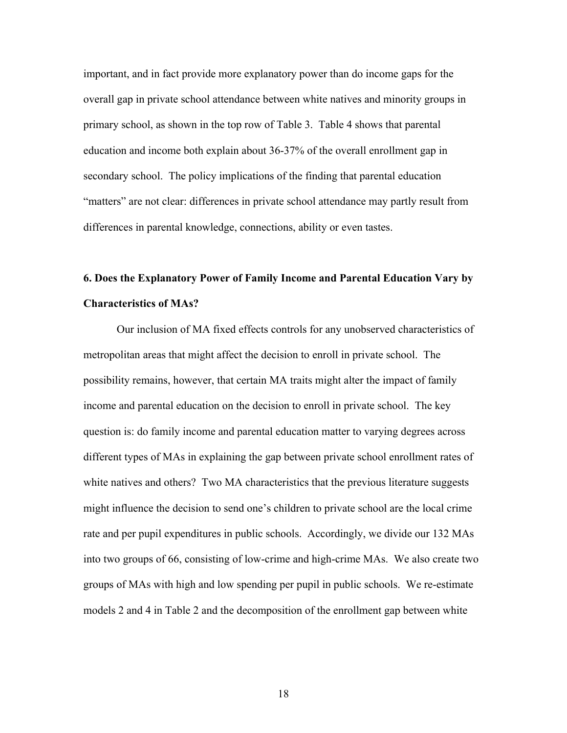important, and in fact provide more explanatory power than do income gaps for the overall gap in private school attendance between white natives and minority groups in primary school, as shown in the top row of Table 3. Table 4 shows that parental education and income both explain about 36-37% of the overall enrollment gap in secondary school. The policy implications of the finding that parental education "matters" are not clear: differences in private school attendance may partly result from differences in parental knowledge, connections, ability or even tastes.

# **6. Does the Explanatory Power of Family Income and Parental Education Vary by Characteristics of MAs?**

Our inclusion of MA fixed effects controls for any unobserved characteristics of metropolitan areas that might affect the decision to enroll in private school. The possibility remains, however, that certain MA traits might alter the impact of family income and parental education on the decision to enroll in private school. The key question is: do family income and parental education matter to varying degrees across different types of MAs in explaining the gap between private school enrollment rates of white natives and others? Two MA characteristics that the previous literature suggests might influence the decision to send one's children to private school are the local crime rate and per pupil expenditures in public schools. Accordingly, we divide our 132 MAs into two groups of 66, consisting of low-crime and high-crime MAs. We also create two groups of MAs with high and low spending per pupil in public schools. We re-estimate models 2 and 4 in Table 2 and the decomposition of the enrollment gap between white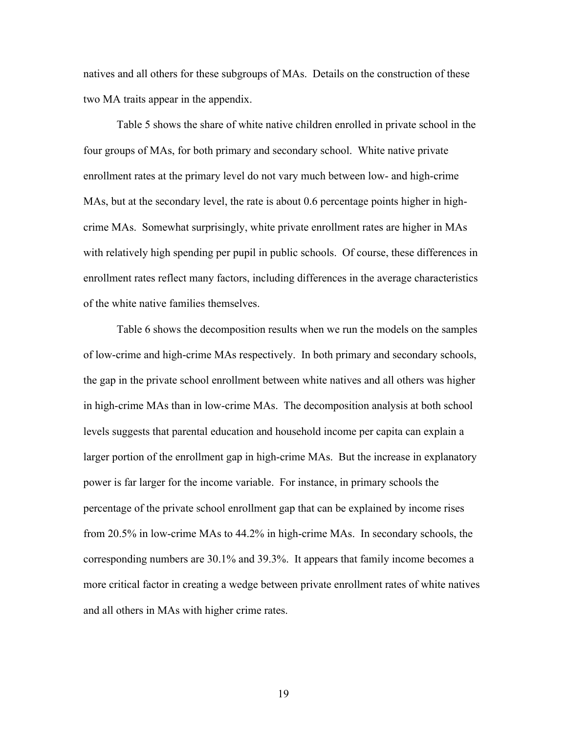natives and all others for these subgroups of MAs. Details on the construction of these two MA traits appear in the appendix.

Table 5 shows the share of white native children enrolled in private school in the four groups of MAs, for both primary and secondary school. White native private enrollment rates at the primary level do not vary much between low- and high-crime MAs, but at the secondary level, the rate is about 0.6 percentage points higher in highcrime MAs. Somewhat surprisingly, white private enrollment rates are higher in MAs with relatively high spending per pupil in public schools. Of course, these differences in enrollment rates reflect many factors, including differences in the average characteristics of the white native families themselves.

Table 6 shows the decomposition results when we run the models on the samples of low-crime and high-crime MAs respectively. In both primary and secondary schools, the gap in the private school enrollment between white natives and all others was higher in high-crime MAs than in low-crime MAs. The decomposition analysis at both school levels suggests that parental education and household income per capita can explain a larger portion of the enrollment gap in high-crime MAs. But the increase in explanatory power is far larger for the income variable. For instance, in primary schools the percentage of the private school enrollment gap that can be explained by income rises from 20.5% in low-crime MAs to 44.2% in high-crime MAs. In secondary schools, the corresponding numbers are 30.1% and 39.3%. It appears that family income becomes a more critical factor in creating a wedge between private enrollment rates of white natives and all others in MAs with higher crime rates.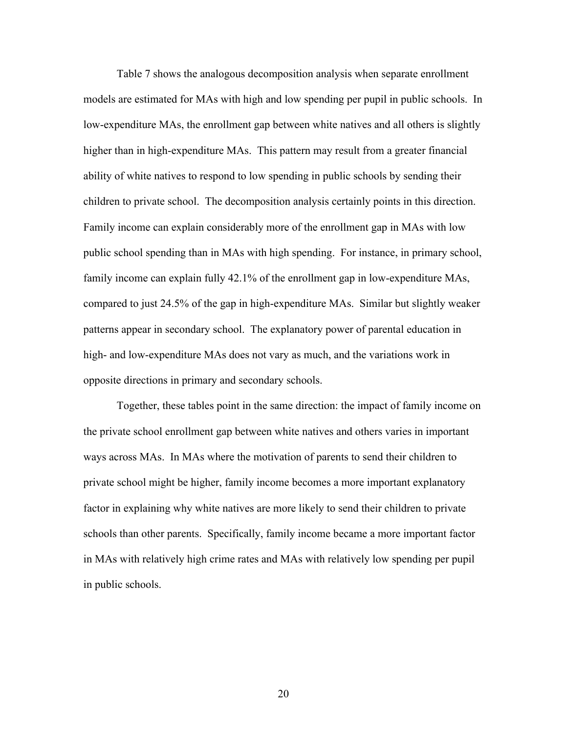Table 7 shows the analogous decomposition analysis when separate enrollment models are estimated for MAs with high and low spending per pupil in public schools. In low-expenditure MAs, the enrollment gap between white natives and all others is slightly higher than in high-expenditure MAs. This pattern may result from a greater financial ability of white natives to respond to low spending in public schools by sending their children to private school. The decomposition analysis certainly points in this direction. Family income can explain considerably more of the enrollment gap in MAs with low public school spending than in MAs with high spending. For instance, in primary school, family income can explain fully 42.1% of the enrollment gap in low-expenditure MAs, compared to just 24.5% of the gap in high-expenditure MAs. Similar but slightly weaker patterns appear in secondary school. The explanatory power of parental education in high- and low-expenditure MAs does not vary as much, and the variations work in opposite directions in primary and secondary schools.

Together, these tables point in the same direction: the impact of family income on the private school enrollment gap between white natives and others varies in important ways across MAs. In MAs where the motivation of parents to send their children to private school might be higher, family income becomes a more important explanatory factor in explaining why white natives are more likely to send their children to private schools than other parents. Specifically, family income became a more important factor in MAs with relatively high crime rates and MAs with relatively low spending per pupil in public schools.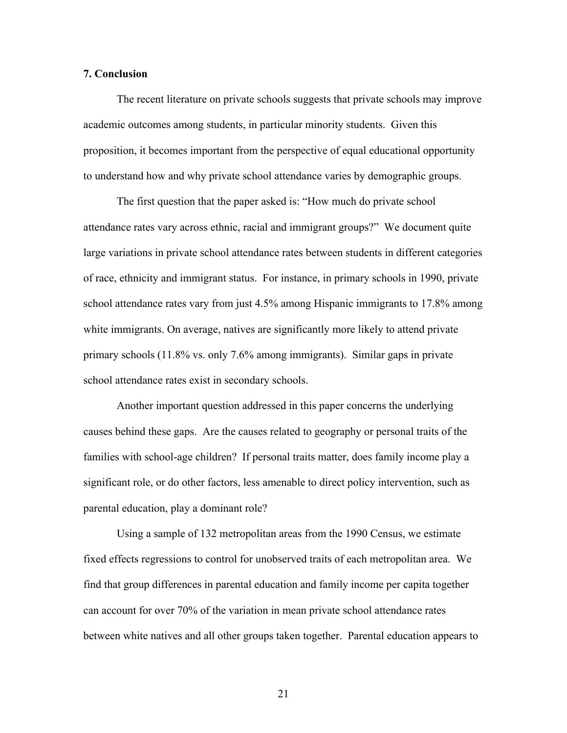#### **7. Conclusion**

The recent literature on private schools suggests that private schools may improve academic outcomes among students, in particular minority students. Given this proposition, it becomes important from the perspective of equal educational opportunity to understand how and why private school attendance varies by demographic groups.

The first question that the paper asked is: "How much do private school attendance rates vary across ethnic, racial and immigrant groups?" We document quite large variations in private school attendance rates between students in different categories of race, ethnicity and immigrant status. For instance, in primary schools in 1990, private school attendance rates vary from just 4.5% among Hispanic immigrants to 17.8% among white immigrants. On average, natives are significantly more likely to attend private primary schools (11.8% vs. only 7.6% among immigrants). Similar gaps in private school attendance rates exist in secondary schools.

Another important question addressed in this paper concerns the underlying causes behind these gaps. Are the causes related to geography or personal traits of the families with school-age children? If personal traits matter, does family income play a significant role, or do other factors, less amenable to direct policy intervention, such as parental education, play a dominant role?

Using a sample of 132 metropolitan areas from the 1990 Census, we estimate fixed effects regressions to control for unobserved traits of each metropolitan area. We find that group differences in parental education and family income per capita together can account for over 70% of the variation in mean private school attendance rates between white natives and all other groups taken together. Parental education appears to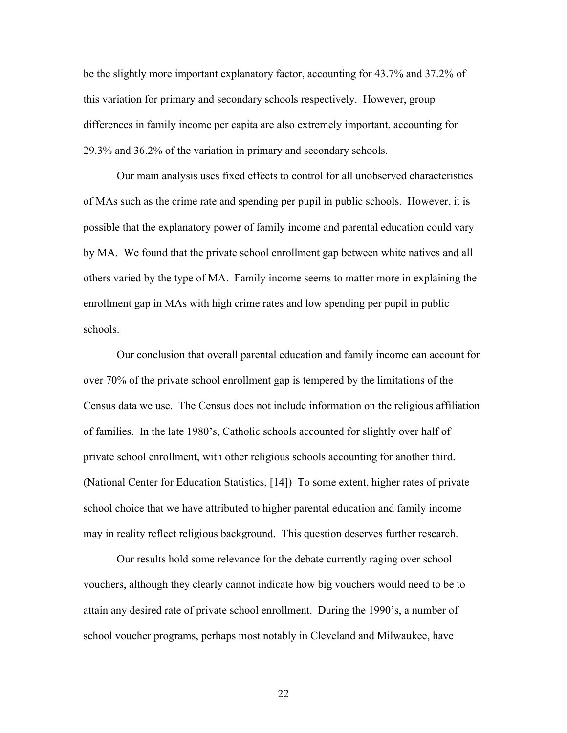be the slightly more important explanatory factor, accounting for 43.7% and 37.2% of this variation for primary and secondary schools respectively. However, group differences in family income per capita are also extremely important, accounting for 29.3% and 36.2% of the variation in primary and secondary schools.

Our main analysis uses fixed effects to control for all unobserved characteristics of MAs such as the crime rate and spending per pupil in public schools. However, it is possible that the explanatory power of family income and parental education could vary by MA. We found that the private school enrollment gap between white natives and all others varied by the type of MA. Family income seems to matter more in explaining the enrollment gap in MAs with high crime rates and low spending per pupil in public schools.

Our conclusion that overall parental education and family income can account for over 70% of the private school enrollment gap is tempered by the limitations of the Census data we use. The Census does not include information on the religious affiliation of families. In the late 1980's, Catholic schools accounted for slightly over half of private school enrollment, with other religious schools accounting for another third. (National Center for Education Statistics, [14]) To some extent, higher rates of private school choice that we have attributed to higher parental education and family income may in reality reflect religious background. This question deserves further research.

Our results hold some relevance for the debate currently raging over school vouchers, although they clearly cannot indicate how big vouchers would need to be to attain any desired rate of private school enrollment. During the 1990's, a number of school voucher programs, perhaps most notably in Cleveland and Milwaukee, have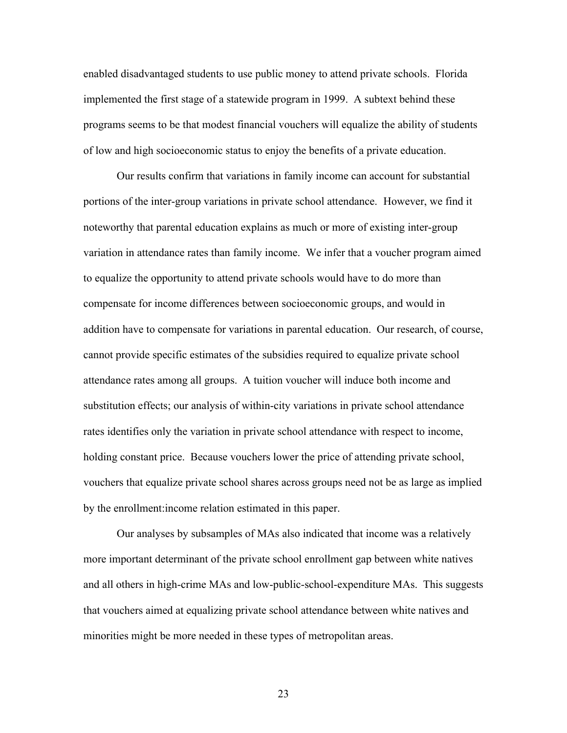enabled disadvantaged students to use public money to attend private schools. Florida implemented the first stage of a statewide program in 1999. A subtext behind these programs seems to be that modest financial vouchers will equalize the ability of students of low and high socioeconomic status to enjoy the benefits of a private education.

Our results confirm that variations in family income can account for substantial portions of the inter-group variations in private school attendance. However, we find it noteworthy that parental education explains as much or more of existing inter-group variation in attendance rates than family income. We infer that a voucher program aimed to equalize the opportunity to attend private schools would have to do more than compensate for income differences between socioeconomic groups, and would in addition have to compensate for variations in parental education. Our research, of course, cannot provide specific estimates of the subsidies required to equalize private school attendance rates among all groups. A tuition voucher will induce both income and substitution effects; our analysis of within-city variations in private school attendance rates identifies only the variation in private school attendance with respect to income, holding constant price. Because vouchers lower the price of attending private school, vouchers that equalize private school shares across groups need not be as large as implied by the enrollment:income relation estimated in this paper.

Our analyses by subsamples of MAs also indicated that income was a relatively more important determinant of the private school enrollment gap between white natives and all others in high-crime MAs and low-public-school-expenditure MAs. This suggests that vouchers aimed at equalizing private school attendance between white natives and minorities might be more needed in these types of metropolitan areas.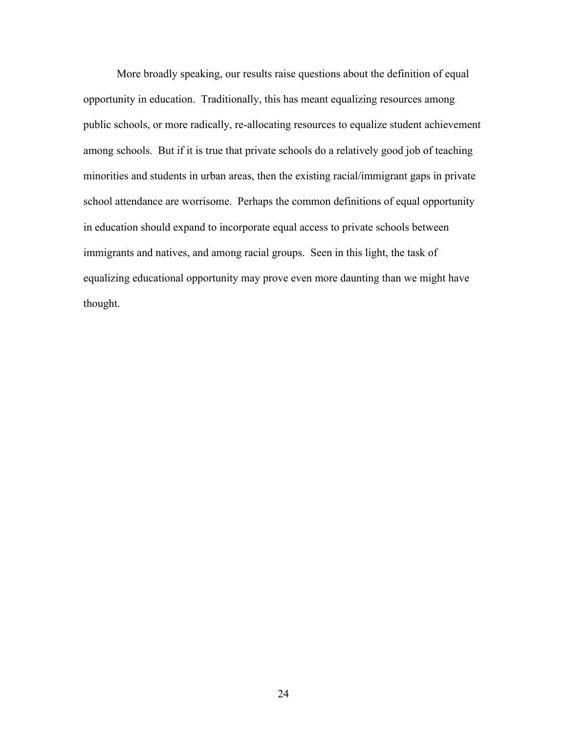More broadly speaking, our results raise questions about the definition of equal opportunity in education. Traditionally, this has meant equalizing resources among public schools, or more radically, re-allocating resources to equalize student achievement among schools. But if it is true that private schools do a relatively good job of teaching minorities and students in urban areas, then the existing racial/immigrant gaps in private school attendance are worrisome. Perhaps the common definitions of equal opportunity in education should expand to incorporate equal access to private schools between immigrants and natives, and among racial groups. Seen in this light, the task of equalizing educational opportunity may prove even more daunting than we might have thought.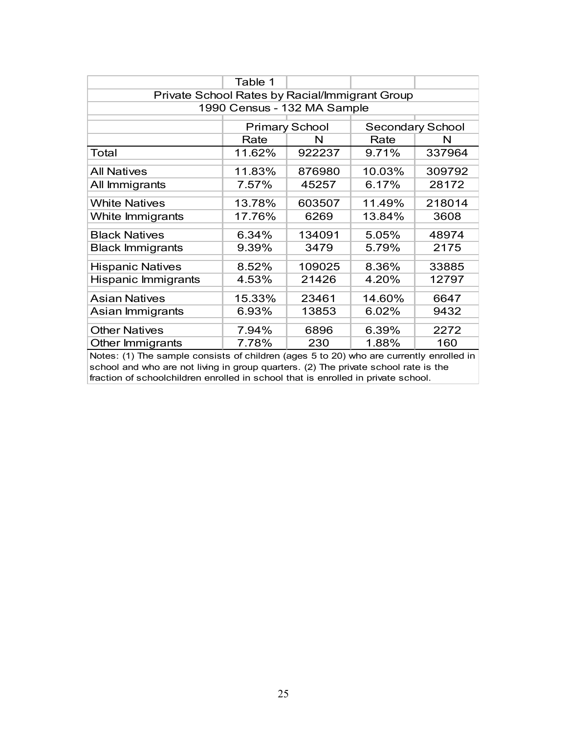|                                                | Table 1 |                                                  |        |        |  |  |  |  |
|------------------------------------------------|---------|--------------------------------------------------|--------|--------|--|--|--|--|
| Private School Rates by Racial/Immigrant Group |         |                                                  |        |        |  |  |  |  |
|                                                |         | 1990 Census - 132 MA Sample                      |        |        |  |  |  |  |
|                                                |         | <b>Secondary School</b><br><b>Primary School</b> |        |        |  |  |  |  |
|                                                | Rate    | N                                                | Rate   | N      |  |  |  |  |
| Total                                          | 11.62%  | 922237                                           | 9.71%  | 337964 |  |  |  |  |
| <b>All Natives</b>                             | 11.83%  | 876980                                           | 10.03% | 309792 |  |  |  |  |
| All Immigrants                                 | 7.57%   | 45257                                            | 6.17%  | 28172  |  |  |  |  |
| <b>White Natives</b>                           | 13.78%  | 603507                                           | 11.49% | 218014 |  |  |  |  |
| White Immigrants                               | 17.76%  | 6269                                             | 13.84% | 3608   |  |  |  |  |
| <b>Black Natives</b>                           | 6.34%   | 134091                                           | 5.05%  | 48974  |  |  |  |  |
| <b>Black Immigrants</b>                        | 9.39%   | 3479                                             | 5.79%  | 2175   |  |  |  |  |
| <b>Hispanic Natives</b>                        | 8.52%   | 109025                                           | 8.36%  | 33885  |  |  |  |  |
| Hispanic Immigrants                            | 4.53%   | 21426                                            | 4.20%  | 12797  |  |  |  |  |
| <b>Asian Natives</b>                           | 15.33%  | 23461                                            | 14.60% | 6647   |  |  |  |  |
| Asian Immigrants                               | 6.93%   | 13853                                            | 6.02%  | 9432   |  |  |  |  |
| <b>Other Natives</b>                           | 7.94%   | 6896                                             | 6.39%  | 2272   |  |  |  |  |
| Other Immigrants                               | 7.78%   | 230                                              | 1.88%  | 160    |  |  |  |  |

Notes: (1) The sample consists of children (ages 5 to 20) who are currently enrolled in school and who are not living in group quarters. (2) The private school rate is the fraction of schoolchildren enrolled in school that is enrolled in private school.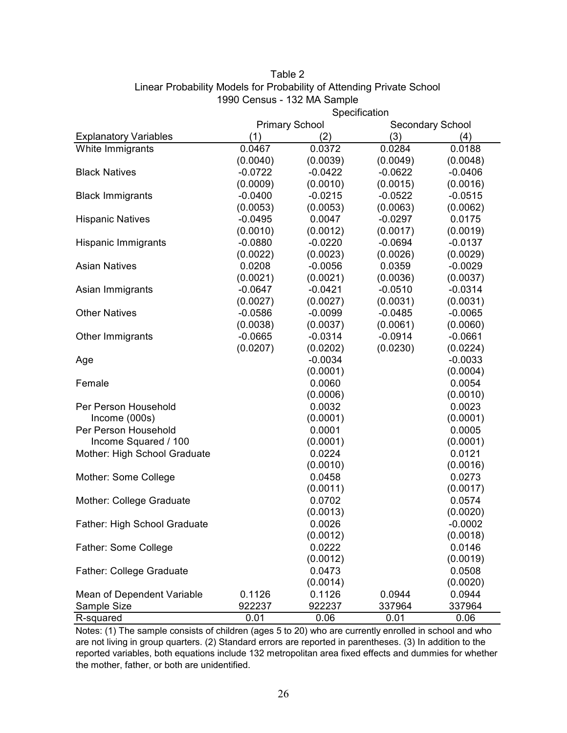|                                 | Specification |                       |                         |           |  |  |  |
|---------------------------------|---------------|-----------------------|-------------------------|-----------|--|--|--|
|                                 |               | <b>Primary School</b> | <b>Secondary School</b> |           |  |  |  |
| <b>Explanatory Variables</b>    | (1)           | (2)                   | (3)                     | (4)       |  |  |  |
| White Immigrants                | 0.0467        | 0.0372                | 0.0284                  | 0.0188    |  |  |  |
|                                 | (0.0040)      | (0.0039)              | (0.0049)                | (0.0048)  |  |  |  |
| <b>Black Natives</b>            | $-0.0722$     | $-0.0422$             | $-0.0622$               | $-0.0406$ |  |  |  |
|                                 | (0.0009)      | (0.0010)              | (0.0015)                | (0.0016)  |  |  |  |
| <b>Black Immigrants</b>         | $-0.0400$     | $-0.0215$             | $-0.0522$               | $-0.0515$ |  |  |  |
|                                 | (0.0053)      | (0.0053)              | (0.0063)                | (0.0062)  |  |  |  |
| <b>Hispanic Natives</b>         | $-0.0495$     | 0.0047                | $-0.0297$               | 0.0175    |  |  |  |
|                                 | (0.0010)      | (0.0012)              | (0.0017)                | (0.0019)  |  |  |  |
| Hispanic Immigrants             | $-0.0880$     | $-0.0220$             | $-0.0694$               | $-0.0137$ |  |  |  |
|                                 | (0.0022)      | (0.0023)              | (0.0026)                | (0.0029)  |  |  |  |
| <b>Asian Natives</b>            | 0.0208        | $-0.0056$             | 0.0359                  | $-0.0029$ |  |  |  |
|                                 | (0.0021)      | (0.0021)              | (0.0036)                | (0.0037)  |  |  |  |
| Asian Immigrants                | $-0.0647$     | $-0.0421$             | $-0.0510$               | $-0.0314$ |  |  |  |
|                                 | (0.0027)      | (0.0027)              | (0.0031)                | (0.0031)  |  |  |  |
| <b>Other Natives</b>            | $-0.0586$     | $-0.0099$             | $-0.0485$               | $-0.0065$ |  |  |  |
|                                 | (0.0038)      | (0.0037)              | (0.0061)                | (0.0060)  |  |  |  |
| Other Immigrants                | $-0.0665$     | $-0.0314$             | $-0.0914$               | $-0.0661$ |  |  |  |
|                                 | (0.0207)      | (0.0202)              | (0.0230)                | (0.0224)  |  |  |  |
| Age                             |               | $-0.0034$             |                         | $-0.0033$ |  |  |  |
|                                 |               | (0.0001)              |                         | (0.0004)  |  |  |  |
| Female                          |               | 0.0060                |                         | 0.0054    |  |  |  |
|                                 |               | (0.0006)              |                         | (0.0010)  |  |  |  |
| Per Person Household            |               | 0.0032                |                         | 0.0023    |  |  |  |
| Income (000s)                   |               | (0.0001)              |                         | (0.0001)  |  |  |  |
| Per Person Household            |               | 0.0001                |                         | 0.0005    |  |  |  |
| Income Squared / 100            |               | (0.0001)              |                         | (0.0001)  |  |  |  |
| Mother: High School Graduate    |               | 0.0224                |                         | 0.0121    |  |  |  |
|                                 |               | (0.0010)              |                         | (0.0016)  |  |  |  |
| Mother: Some College            |               | 0.0458                |                         | 0.0273    |  |  |  |
|                                 |               | (0.0011)              |                         | (0.0017)  |  |  |  |
| Mother: College Graduate        |               | 0.0702                |                         | 0.0574    |  |  |  |
|                                 |               | (0.0013)              |                         | (0.0020)  |  |  |  |
| Father: High School Graduate    |               | 0.0026                |                         | $-0.0002$ |  |  |  |
|                                 |               | (0.0012)              |                         | (0.0018)  |  |  |  |
| Father: Some College            |               | 0.0222                |                         | 0.0146    |  |  |  |
|                                 |               | (0.0012)              |                         | (0.0019)  |  |  |  |
| <b>Father: College Graduate</b> |               | 0.0473                |                         | 0.0508    |  |  |  |
|                                 |               | (0.0014)              |                         | (0.0020)  |  |  |  |
| Mean of Dependent Variable      | 0.1126        | 0.1126                | 0.0944                  | 0.0944    |  |  |  |
| Sample Size                     | 922237        | 922237                | 337964                  | 337964    |  |  |  |
| R-squared                       | 0.01          | 0.06                  | 0.01                    | 0.06      |  |  |  |

### Table 2 Linear Probability Models for Probability of Attending Private School 1990 Census - 132 MA Sample

Notes: (1) The sample consists of children (ages 5 to 20) who are currently enrolled in school and who are not living in group quarters. (2) Standard errors are reported in parentheses. (3) In addition to the reported variables, both equations include 132 metropolitan area fixed effects and dummies for whether the mother, father, or both are unidentified.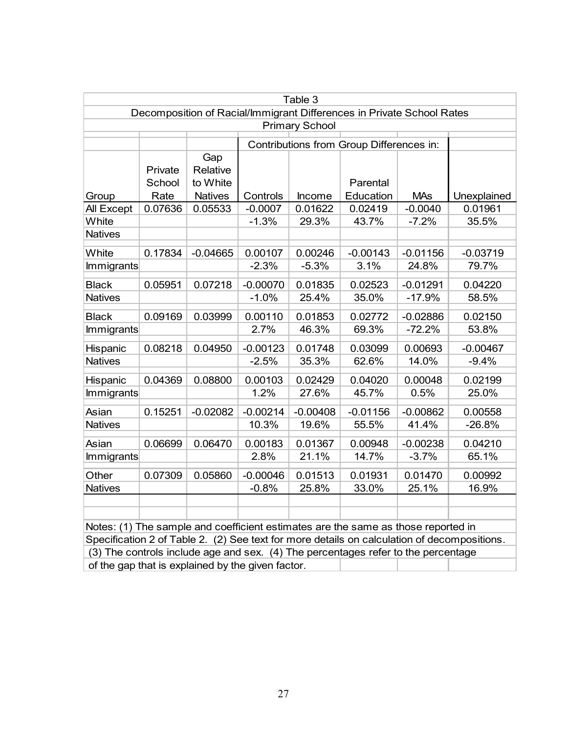| Table 3                                                                           |                           |                                               |            |            |                                                                                   |            |                                                                                             |  |  |
|-----------------------------------------------------------------------------------|---------------------------|-----------------------------------------------|------------|------------|-----------------------------------------------------------------------------------|------------|---------------------------------------------------------------------------------------------|--|--|
| Decomposition of Racial/Immigrant Differences in Private School Rates             |                           |                                               |            |            |                                                                                   |            |                                                                                             |  |  |
| <b>Primary School</b>                                                             |                           |                                               |            |            |                                                                                   |            |                                                                                             |  |  |
|                                                                                   |                           |                                               |            |            | Contributions from Group Differences in:                                          |            |                                                                                             |  |  |
| Group                                                                             | Private<br>School<br>Rate | Gap<br>Relative<br>to White<br><b>Natives</b> | Controls   | Income     | Parental<br>Education                                                             | <b>MAs</b> | Unexplained                                                                                 |  |  |
| All Except                                                                        | 0.07636                   | 0.05533                                       | $-0.0007$  | 0.01622    | 0.02419                                                                           | $-0.0040$  | 0.01961                                                                                     |  |  |
| White                                                                             |                           |                                               | $-1.3%$    | 29.3%      | 43.7%                                                                             | $-7.2%$    | 35.5%                                                                                       |  |  |
| <b>Natives</b>                                                                    |                           |                                               |            |            |                                                                                   |            |                                                                                             |  |  |
| White                                                                             | 0.17834                   | $-0.04665$                                    | 0.00107    | 0.00246    | $-0.00143$                                                                        | $-0.01156$ | $-0.03719$                                                                                  |  |  |
| <b>Immigrants</b>                                                                 |                           |                                               | $-2.3%$    | $-5.3%$    | 3.1%                                                                              | 24.8%      | 79.7%                                                                                       |  |  |
|                                                                                   |                           |                                               |            |            |                                                                                   |            |                                                                                             |  |  |
| <b>Black</b>                                                                      | 0.05951                   | 0.07218                                       | $-0.00070$ | 0.01835    | 0.02523                                                                           | $-0.01291$ | 0.04220                                                                                     |  |  |
| <b>Natives</b>                                                                    |                           |                                               | $-1.0%$    | 25.4%      | 35.0%                                                                             | $-17.9%$   | 58.5%                                                                                       |  |  |
| <b>Black</b>                                                                      | 0.09169                   | 0.03999                                       | 0.00110    | 0.01853    | 0.02772                                                                           | $-0.02886$ | 0.02150                                                                                     |  |  |
| Immigrants                                                                        |                           |                                               | 2.7%       | 46.3%      | 69.3%                                                                             | $-72.2%$   | 53.8%                                                                                       |  |  |
| Hispanic                                                                          | 0.08218                   | 0.04950                                       | $-0.00123$ | 0.01748    | 0.03099                                                                           | 0.00693    | $-0.00467$                                                                                  |  |  |
| <b>Natives</b>                                                                    |                           |                                               | $-2.5%$    | 35.3%      | 62.6%                                                                             | 14.0%      | $-9.4%$                                                                                     |  |  |
| Hispanic                                                                          | 0.04369                   | 0.08800                                       | 0.00103    | 0.02429    | 0.04020                                                                           | 0.00048    | 0.02199                                                                                     |  |  |
| Immigrants                                                                        |                           |                                               | 1.2%       | 27.6%      | 45.7%                                                                             | 0.5%       | 25.0%                                                                                       |  |  |
| Asian                                                                             | 0.15251                   | $-0.02082$                                    | $-0.00214$ | $-0.00408$ | $-0.01156$                                                                        | $-0.00862$ | 0.00558                                                                                     |  |  |
| <b>Natives</b>                                                                    |                           |                                               | 10.3%      | 19.6%      | 55.5%                                                                             | 41.4%      | $-26.8%$                                                                                    |  |  |
| Asian                                                                             | 0.06699                   | 0.06470                                       | 0.00183    | 0.01367    | 0.00948                                                                           | $-0.00238$ | 0.04210                                                                                     |  |  |
| Immigrants                                                                        |                           |                                               | 2.8%       | 21.1%      | 14.7%                                                                             | $-3.7%$    | 65.1%                                                                                       |  |  |
| Other                                                                             | 0.07309                   | 0.05860                                       | $-0.00046$ | 0.01513    | 0.01931                                                                           | 0.01470    | 0.00992                                                                                     |  |  |
| <b>Natives</b>                                                                    |                           |                                               | $-0.8%$    | 25.8%      | 33.0%                                                                             | 25.1%      | 16.9%                                                                                       |  |  |
|                                                                                   |                           |                                               |            |            |                                                                                   |            |                                                                                             |  |  |
|                                                                                   |                           |                                               |            |            |                                                                                   |            |                                                                                             |  |  |
|                                                                                   |                           |                                               |            |            | Notes: (1) The sample and coefficient estimates are the same as those reported in |            |                                                                                             |  |  |
|                                                                                   |                           |                                               |            |            |                                                                                   |            | Specification 2 of Table 2. (2) See text for more details on calculation of decompositions. |  |  |
| (3) The controls include age and sex. (4) The percentages refer to the percentage |                           |                                               |            |            |                                                                                   |            |                                                                                             |  |  |

of the gap that is explained by the given factor.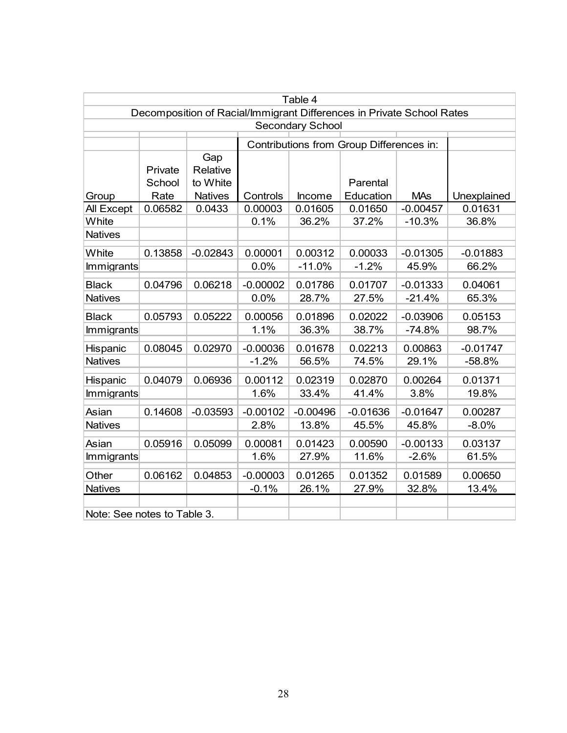| Table 4                                                               |         |                |            |            |                                          |            |             |  |  |
|-----------------------------------------------------------------------|---------|----------------|------------|------------|------------------------------------------|------------|-------------|--|--|
| Decomposition of Racial/Immigrant Differences in Private School Rates |         |                |            |            |                                          |            |             |  |  |
| <b>Secondary School</b>                                               |         |                |            |            |                                          |            |             |  |  |
|                                                                       |         |                |            |            | Contributions from Group Differences in: |            |             |  |  |
|                                                                       |         | Gap            |            |            |                                          |            |             |  |  |
|                                                                       | Private | Relative       |            |            |                                          |            |             |  |  |
|                                                                       | School  | to White       |            |            | Parental                                 |            |             |  |  |
| Group                                                                 | Rate    | <b>Natives</b> | Controls   | Income     | Education                                | <b>MAs</b> | Unexplained |  |  |
| All Except                                                            | 0.06582 | 0.0433         | 0.00003    | 0.01605    | 0.01650                                  | $-0.00457$ | 0.01631     |  |  |
| White                                                                 |         |                | 0.1%       | 36.2%      | 37.2%                                    | $-10.3%$   | 36.8%       |  |  |
| <b>Natives</b>                                                        |         |                |            |            |                                          |            |             |  |  |
| White                                                                 | 0.13858 | $-0.02843$     | 0.00001    | 0.00312    | 0.00033                                  | $-0.01305$ | $-0.01883$  |  |  |
| <b>Immigrants</b>                                                     |         |                | 0.0%       | $-11.0%$   | $-1.2%$                                  | 45.9%      | 66.2%       |  |  |
| <b>Black</b>                                                          | 0.04796 | 0.06218        | $-0.00002$ | 0.01786    | 0.01707                                  | $-0.01333$ | 0.04061     |  |  |
| <b>Natives</b>                                                        |         |                | 0.0%       | 28.7%      | 27.5%                                    | $-21.4%$   | 65.3%       |  |  |
| <b>Black</b>                                                          | 0.05793 | 0.05222        | 0.00056    | 0.01896    | 0.02022                                  | $-0.03906$ | 0.05153     |  |  |
| <b>Immigrants</b>                                                     |         |                | 1.1%       | 36.3%      | 38.7%                                    | $-74.8%$   | 98.7%       |  |  |
| Hispanic                                                              | 0.08045 | 0.02970        | $-0.00036$ | 0.01678    | 0.02213                                  | 0.00863    | $-0.01747$  |  |  |
| <b>Natives</b>                                                        |         |                | $-1.2%$    | 56.5%      | 74.5%                                    | 29.1%      | $-58.8%$    |  |  |
| Hispanic                                                              | 0.04079 | 0.06936        | 0.00112    | 0.02319    | 0.02870                                  | 0.00264    | 0.01371     |  |  |
| <b>Immigrants</b>                                                     |         |                | 1.6%       | 33.4%      | 41.4%                                    | 3.8%       | 19.8%       |  |  |
| Asian                                                                 | 0.14608 | $-0.03593$     | $-0.00102$ | $-0.00496$ | $-0.01636$                               | $-0.01647$ | 0.00287     |  |  |
| <b>Natives</b>                                                        |         |                | 2.8%       | 13.8%      | 45.5%                                    | 45.8%      | $-8.0\%$    |  |  |
| Asian                                                                 | 0.05916 | 0.05099        | 0.00081    | 0.01423    | 0.00590                                  | $-0.00133$ | 0.03137     |  |  |
| Immigrants                                                            |         |                | 1.6%       | 27.9%      | 11.6%                                    | $-2.6%$    | 61.5%       |  |  |
| Other                                                                 | 0.06162 | 0.04853        | $-0.00003$ | 0.01265    | 0.01352                                  | 0.01589    | 0.00650     |  |  |
| <b>Natives</b>                                                        |         |                | $-0.1%$    | 26.1%      | 27.9%                                    | 32.8%      | 13.4%       |  |  |
|                                                                       |         |                |            |            |                                          |            |             |  |  |
| Note: See notes to Table 3.                                           |         |                |            |            |                                          |            |             |  |  |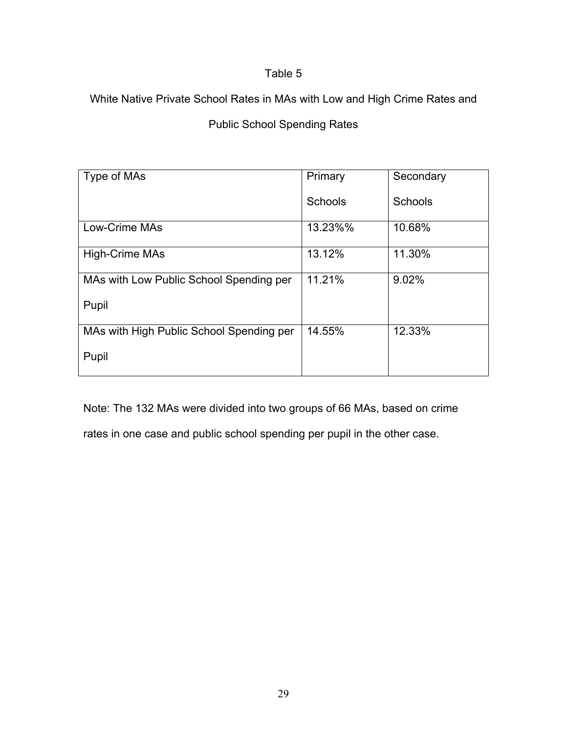## Table 5

White Native Private School Rates in MAs with Low and High Crime Rates and

## Public School Spending Rates

| Type of MAs                              | Primary | Secondary      |
|------------------------------------------|---------|----------------|
|                                          | Schools | <b>Schools</b> |
| <b>Low-Crime MAs</b>                     | 13.23%% | 10.68%         |
| <b>High-Crime MAs</b>                    | 13.12%  | 11.30%         |
| MAs with Low Public School Spending per  | 11.21%  | 9.02%          |
| Pupil                                    |         |                |
| MAs with High Public School Spending per | 14.55%  | 12.33%         |
| Pupil                                    |         |                |

Note: The 132 MAs were divided into two groups of 66 MAs, based on crime

rates in one case and public school spending per pupil in the other case.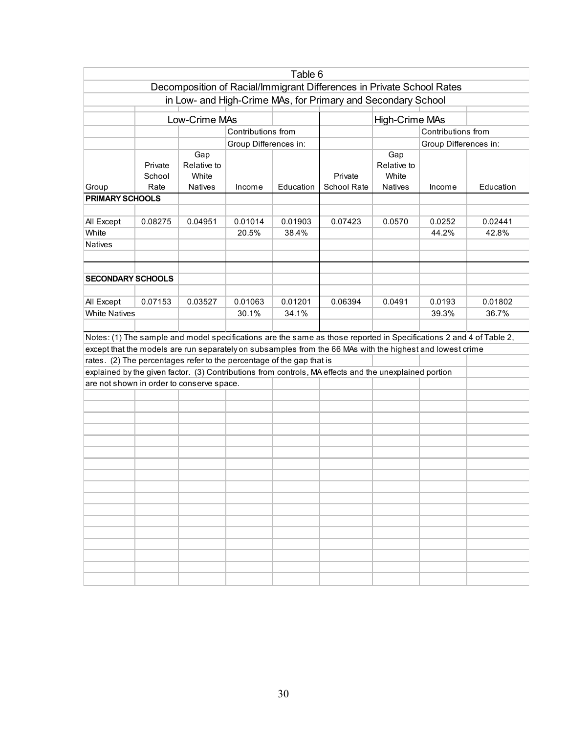| Table 6                                                               |                           |                                               |                       |                  |                                                                                                                     |                                               |                       |                  |
|-----------------------------------------------------------------------|---------------------------|-----------------------------------------------|-----------------------|------------------|---------------------------------------------------------------------------------------------------------------------|-----------------------------------------------|-----------------------|------------------|
| Decomposition of Racial/Immigrant Differences in Private School Rates |                           |                                               |                       |                  |                                                                                                                     |                                               |                       |                  |
|                                                                       |                           |                                               |                       |                  | in Low- and High-Crime MAs, for Primary and Secondary School                                                        |                                               |                       |                  |
|                                                                       | Low-Crime MAs             |                                               |                       |                  |                                                                                                                     | High-Crime MAs                                |                       |                  |
|                                                                       |                           |                                               | Contributions from    |                  |                                                                                                                     |                                               | Contributions from    |                  |
|                                                                       |                           |                                               | Group Differences in: |                  |                                                                                                                     |                                               | Group Differences in: |                  |
| Group<br><b>PRIMARY SCHOOLS</b>                                       | Private<br>School<br>Rate | Gap<br>Relative to<br>White<br><b>Natives</b> | Income                | Education        | Private<br>School Rate                                                                                              | Gap<br>Relative to<br>White<br><b>Natives</b> | Income                | Education        |
|                                                                       |                           |                                               |                       |                  |                                                                                                                     |                                               |                       |                  |
| All Except<br>White                                                   | 0.08275                   | 0.04951                                       | 0.01014<br>20.5%      | 0.01903<br>38.4% | 0.07423                                                                                                             | 0.0570                                        | 0.0252<br>44.2%       | 0.02441<br>42.8% |
| Natives                                                               |                           |                                               |                       |                  |                                                                                                                     |                                               |                       |                  |
| <b>SECONDARY SCHOOLS</b>                                              |                           |                                               |                       |                  |                                                                                                                     |                                               |                       |                  |
| All Except                                                            | 0.07153                   | 0.03527                                       | 0.01063               | 0.01201          | 0.06394                                                                                                             | 0.0491                                        | 0.0193                | 0.01802          |
| <b>White Natives</b>                                                  |                           |                                               | 30.1%                 | 34.1%            |                                                                                                                     |                                               | 39.3%                 | 36.7%            |
|                                                                       |                           |                                               |                       |                  |                                                                                                                     |                                               |                       |                  |
|                                                                       |                           |                                               |                       |                  | Notes: (1) The sample and model specifications are the same as those reported in Specifications 2 and 4 of Table 2, |                                               |                       |                  |
|                                                                       |                           |                                               |                       |                  | except that the models are run separately on subsamples from the 66 MAs with the highest and lowest crime           |                                               |                       |                  |
| rates. (2) The percentages refer to the percentage of the gap that is |                           |                                               |                       |                  |                                                                                                                     |                                               |                       |                  |
| are not shown in order to conserve space.                             |                           |                                               |                       |                  | explained by the given factor. (3) Contributions from controls, MA effects and the unexplained portion              |                                               |                       |                  |
|                                                                       |                           |                                               |                       |                  |                                                                                                                     |                                               |                       |                  |
|                                                                       |                           |                                               |                       |                  |                                                                                                                     |                                               |                       |                  |
|                                                                       |                           |                                               |                       |                  |                                                                                                                     |                                               |                       |                  |
|                                                                       |                           |                                               |                       |                  |                                                                                                                     |                                               |                       |                  |
|                                                                       |                           |                                               |                       |                  |                                                                                                                     |                                               |                       |                  |
|                                                                       |                           |                                               |                       |                  |                                                                                                                     |                                               |                       |                  |
|                                                                       |                           |                                               |                       |                  |                                                                                                                     |                                               |                       |                  |
|                                                                       |                           |                                               |                       |                  |                                                                                                                     |                                               |                       |                  |
|                                                                       |                           |                                               |                       |                  |                                                                                                                     |                                               |                       |                  |
|                                                                       |                           |                                               |                       |                  |                                                                                                                     |                                               |                       |                  |
|                                                                       |                           |                                               |                       |                  |                                                                                                                     |                                               |                       |                  |
|                                                                       |                           |                                               |                       |                  |                                                                                                                     |                                               |                       |                  |
|                                                                       |                           |                                               |                       |                  |                                                                                                                     |                                               |                       |                  |
|                                                                       |                           |                                               |                       |                  |                                                                                                                     |                                               |                       |                  |
|                                                                       |                           |                                               |                       |                  |                                                                                                                     |                                               |                       |                  |
|                                                                       |                           |                                               |                       |                  |                                                                                                                     |                                               |                       |                  |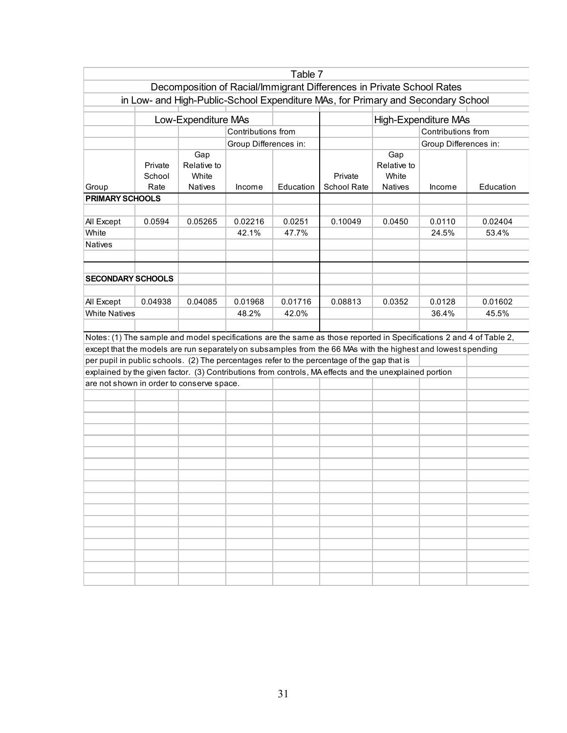| Table 7                                                                          |                           |                                               |                       |           |                                                                                                                     |                                               |                       |           |
|----------------------------------------------------------------------------------|---------------------------|-----------------------------------------------|-----------------------|-----------|---------------------------------------------------------------------------------------------------------------------|-----------------------------------------------|-----------------------|-----------|
| Decomposition of Racial/Immigrant Differences in Private School Rates            |                           |                                               |                       |           |                                                                                                                     |                                               |                       |           |
| in Low- and High-Public-School Expenditure MAs, for Primary and Secondary School |                           |                                               |                       |           |                                                                                                                     |                                               |                       |           |
|                                                                                  |                           | Low-Expenditure MAs                           |                       |           |                                                                                                                     | High-Expenditure MAs                          |                       |           |
|                                                                                  |                           |                                               | Contributions from    |           |                                                                                                                     |                                               | Contributions from    |           |
|                                                                                  |                           |                                               | Group Differences in: |           |                                                                                                                     |                                               | Group Differences in: |           |
| Group                                                                            | Private<br>School<br>Rate | Gap<br>Relative to<br>White<br><b>Natives</b> | Income                | Education | Private<br>School Rate                                                                                              | Gap<br>Relative to<br>White<br><b>Natives</b> | Income                | Education |
| <b>PRIMARY SCHOOLS</b>                                                           |                           |                                               |                       |           |                                                                                                                     |                                               |                       |           |
|                                                                                  |                           |                                               |                       |           |                                                                                                                     |                                               |                       |           |
| All Except                                                                       | 0.0594                    | 0.05265                                       | 0.02216               | 0.0251    | 0.10049                                                                                                             | 0.0450                                        | 0.0110                | 0.02404   |
| White                                                                            |                           |                                               | 42.1%                 | 47.7%     |                                                                                                                     |                                               | 24.5%                 | 53.4%     |
| <b>Natives</b>                                                                   |                           |                                               |                       |           |                                                                                                                     |                                               |                       |           |
| <b>SECONDARY SCHOOLS</b>                                                         |                           |                                               |                       |           |                                                                                                                     |                                               |                       |           |
| All Except                                                                       | 0.04938                   | 0.04085                                       | 0.01968               | 0.01716   | 0.08813                                                                                                             | 0.0352                                        | 0.0128                | 0.01602   |
| <b>White Natives</b>                                                             |                           |                                               | 48.2%                 | 42.0%     |                                                                                                                     |                                               | 36.4%                 | 45.5%     |
|                                                                                  |                           |                                               |                       |           |                                                                                                                     |                                               |                       |           |
|                                                                                  |                           |                                               |                       |           | Notes: (1) The sample and model specifications are the same as those reported in Specifications 2 and 4 of Table 2, |                                               |                       |           |
|                                                                                  |                           |                                               |                       |           | except that the models are run separately on subsamples from the 66 MAs with the highest and lowest spending        |                                               |                       |           |
|                                                                                  |                           |                                               |                       |           | per pupil in public schools. (2) The percentages refer to the percentage of the gap that is                         |                                               |                       |           |
|                                                                                  |                           |                                               |                       |           | explained by the given factor. (3) Contributions from controls, MA effects and the unexplained portion              |                                               |                       |           |
| are not shown in order to conserve space.                                        |                           |                                               |                       |           |                                                                                                                     |                                               |                       |           |
|                                                                                  |                           |                                               |                       |           |                                                                                                                     |                                               |                       |           |
|                                                                                  |                           |                                               |                       |           |                                                                                                                     |                                               |                       |           |
|                                                                                  |                           |                                               |                       |           |                                                                                                                     |                                               |                       |           |
|                                                                                  |                           |                                               |                       |           |                                                                                                                     |                                               |                       |           |
|                                                                                  |                           |                                               |                       |           |                                                                                                                     |                                               |                       |           |
|                                                                                  |                           |                                               |                       |           |                                                                                                                     |                                               |                       |           |
|                                                                                  |                           |                                               |                       |           |                                                                                                                     |                                               |                       |           |
|                                                                                  |                           |                                               |                       |           |                                                                                                                     |                                               |                       |           |
|                                                                                  |                           |                                               |                       |           |                                                                                                                     |                                               |                       |           |
|                                                                                  |                           |                                               |                       |           |                                                                                                                     |                                               |                       |           |
|                                                                                  |                           |                                               |                       |           |                                                                                                                     |                                               |                       |           |
|                                                                                  |                           |                                               |                       |           |                                                                                                                     |                                               |                       |           |
|                                                                                  |                           |                                               |                       |           |                                                                                                                     |                                               |                       |           |
|                                                                                  |                           |                                               |                       |           |                                                                                                                     |                                               |                       |           |
|                                                                                  |                           |                                               |                       |           |                                                                                                                     |                                               |                       |           |
|                                                                                  |                           |                                               |                       |           |                                                                                                                     |                                               |                       |           |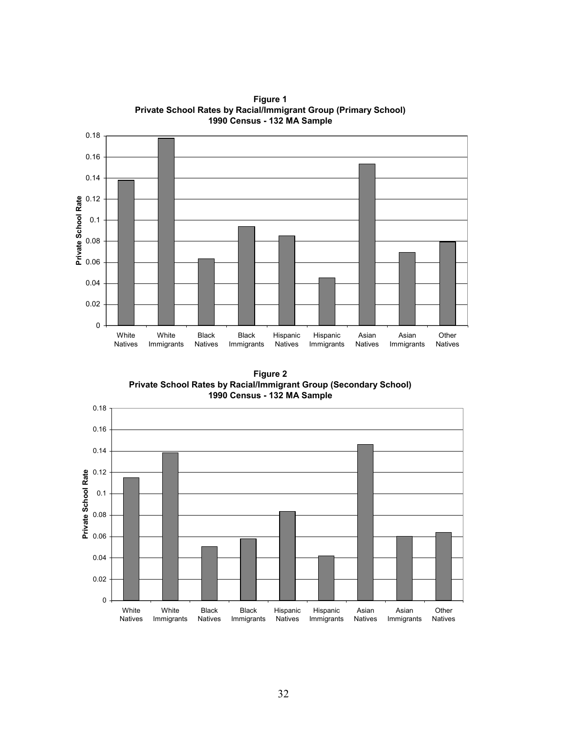

**Figure 1 Private School Rates by Racial/Immigrant Group (Primary School) 1990 Census - 132 MA Sample**

**Figure 2 Private School Rates by Racial/Immigrant Group (Secondary School) 1990 Census - 132 MA Sample**

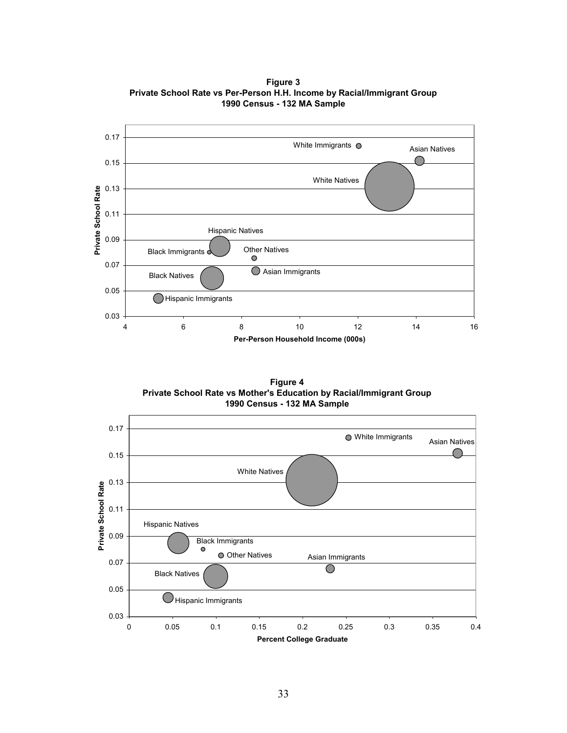

**Figure 3 Private School Rate vs Per-Person H.H. Income by Racial/Immigrant Group 1990 Census - 132 MA Sample**

**Figure 4 Private School Rate vs Mother's Education by Racial/Immigrant Group 1990 Census - 132 MA Sample**

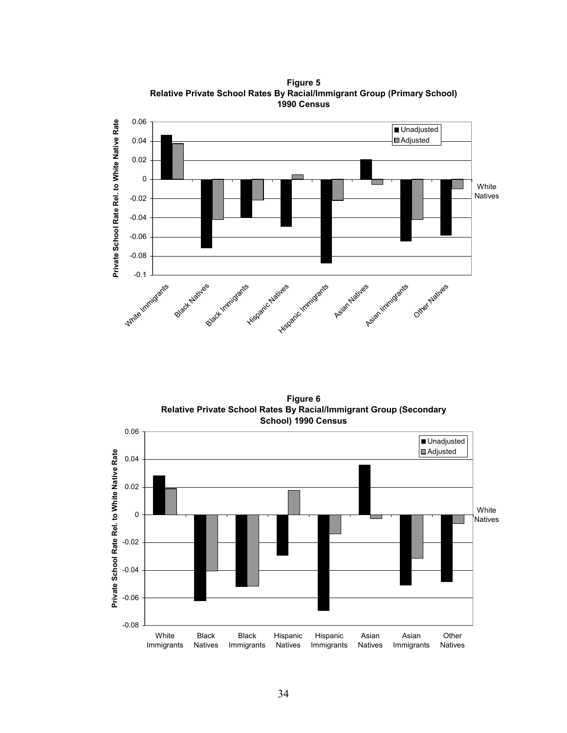0.06 Private School Rate Rel. to White Native Rate **Private School Rate Rel. to White Native Rate Unadjusted** Adjusted 0.04 0.02 0 White Natives -0.02 -0.04 -0.06 -0.08 -0.1 White Immigratie Black Hartingsarts Azius Sanct Minigrants Asian Natives Asian Immigrants Other Natives

**Figure 5 Relative Private School Rates By Racial/Immigrant Group (Primary School) 1990 Census**

**Figure 6 Relative Private School Rates By Racial/Immigrant Group (Secondary School) 1990 Census**

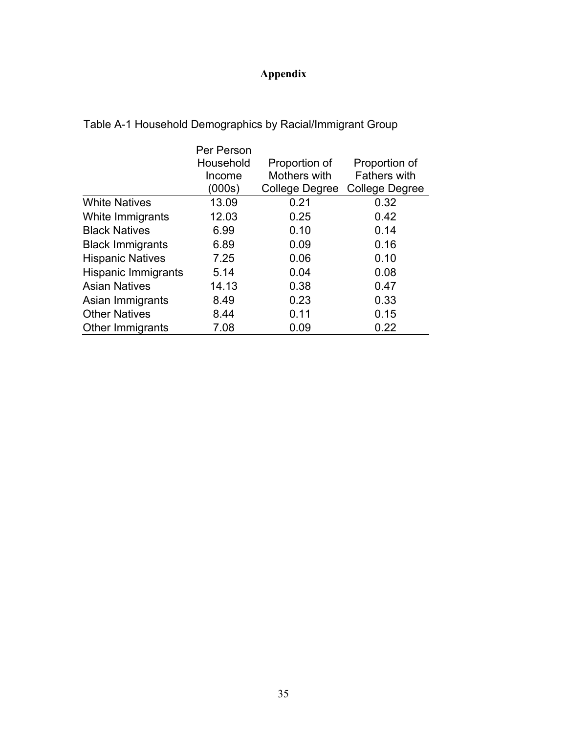# **Appendix**

|                            | Per Person<br>Household<br>Income<br>(000s) | Proportion of<br>Mothers with<br>College Degree | Proportion of<br><b>Fathers with</b><br>College Degree |
|----------------------------|---------------------------------------------|-------------------------------------------------|--------------------------------------------------------|
| <b>White Natives</b>       | 13.09                                       | 0.21                                            | 0.32                                                   |
| White Immigrants           | 12.03                                       | 0.25                                            | 0.42                                                   |
| <b>Black Natives</b>       | 6.99                                        | 0.10                                            | 0.14                                                   |
| <b>Black Immigrants</b>    | 6.89                                        | 0.09                                            | 0.16                                                   |
| <b>Hispanic Natives</b>    | 7.25                                        | 0.06                                            | 0.10                                                   |
| <b>Hispanic Immigrants</b> | 5.14                                        | 0.04                                            | 0.08                                                   |
| <b>Asian Natives</b>       | 14.13                                       | 0.38                                            | 0.47                                                   |
| Asian Immigrants           | 8.49                                        | 0.23                                            | 0.33                                                   |
| <b>Other Natives</b>       | 8.44                                        | 0.11                                            | 0.15                                                   |
| Other Immigrants           | 7.08                                        | 0.09                                            | 0.22                                                   |

Table A-1 Household Demographics by Racial/Immigrant Group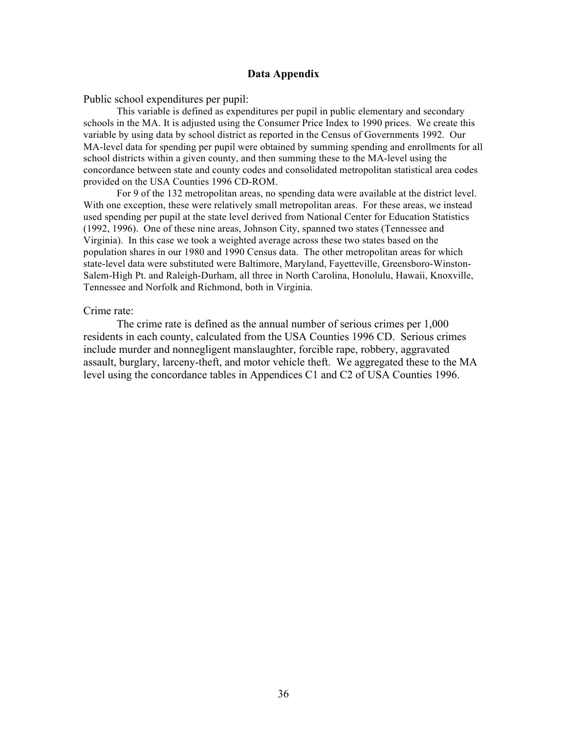### **Data Appendix**

Public school expenditures per pupil:

This variable is defined as expenditures per pupil in public elementary and secondary schools in the MA. It is adjusted using the Consumer Price Index to 1990 prices. We create this variable by using data by school district as reported in the Census of Governments 1992. Our MA-level data for spending per pupil were obtained by summing spending and enrollments for all school districts within a given county, and then summing these to the MA-level using the concordance between state and county codes and consolidated metropolitan statistical area codes provided on the USA Counties 1996 CD-ROM.

For 9 of the 132 metropolitan areas, no spending data were available at the district level. With one exception, these were relatively small metropolitan areas. For these areas, we instead used spending per pupil at the state level derived from National Center for Education Statistics (1992, 1996). One of these nine areas, Johnson City, spanned two states (Tennessee and Virginia). In this case we took a weighted average across these two states based on the population shares in our 1980 and 1990 Census data. The other metropolitan areas for which state-level data were substituted were Baltimore, Maryland, Fayetteville, Greensboro-Winston-Salem-High Pt. and Raleigh-Durham, all three in North Carolina, Honolulu, Hawaii, Knoxville, Tennessee and Norfolk and Richmond, both in Virginia.

#### Crime rate:

The crime rate is defined as the annual number of serious crimes per 1,000 residents in each county, calculated from the USA Counties 1996 CD. Serious crimes include murder and nonnegligent manslaughter, forcible rape, robbery, aggravated assault, burglary, larceny-theft, and motor vehicle theft. We aggregated these to the MA level using the concordance tables in Appendices C1 and C2 of USA Counties 1996.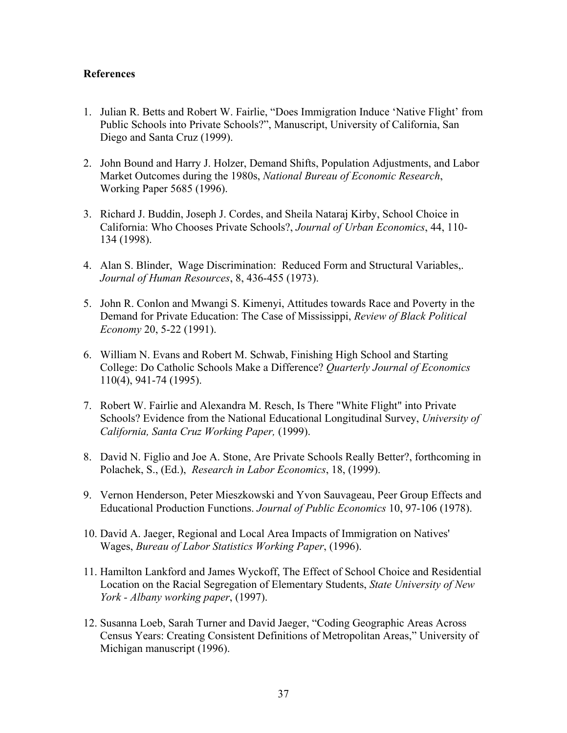### **References**

- 1. Julian R. Betts and Robert W. Fairlie, "Does Immigration Induce 'Native Flight' from Public Schools into Private Schools?", Manuscript, University of California, San Diego and Santa Cruz (1999).
- 2. John Bound and Harry J. Holzer, Demand Shifts, Population Adjustments, and Labor Market Outcomes during the 1980s, *National Bureau of Economic Research*, Working Paper 5685 (1996).
- 3. Richard J. Buddin, Joseph J. Cordes, and Sheila Nataraj Kirby, School Choice in California: Who Chooses Private Schools?, *Journal of Urban Economics*, 44, 110- 134 (1998).
- 4. Alan S. Blinder, Wage Discrimination: Reduced Form and Structural Variables,. *Journal of Human Resources*, 8, 436-455 (1973).
- 5. John R. Conlon and Mwangi S. Kimenyi, Attitudes towards Race and Poverty in the Demand for Private Education: The Case of Mississippi, *Review of Black Political Economy* 20, 5-22 (1991).
- 6. William N. Evans and Robert M. Schwab, Finishing High School and Starting College: Do Catholic Schools Make a Difference? *Quarterly Journal of Economics* 110(4), 941-74 (1995).
- 7. Robert W. Fairlie and Alexandra M. Resch, Is There "White Flight" into Private Schools? Evidence from the National Educational Longitudinal Survey, *University of California, Santa Cruz Working Paper,* (1999).
- 8. David N. Figlio and Joe A. Stone, Are Private Schools Really Better?, forthcoming in Polachek, S., (Ed.), *Research in Labor Economics*, 18, (1999).
- 9. Vernon Henderson, Peter Mieszkowski and Yvon Sauvageau, Peer Group Effects and Educational Production Functions. *Journal of Public Economics* 10, 97-106 (1978).
- 10. David A. Jaeger, Regional and Local Area Impacts of Immigration on Natives' Wages, *Bureau of Labor Statistics Working Paper*, (1996).
- 11. Hamilton Lankford and James Wyckoff, The Effect of School Choice and Residential Location on the Racial Segregation of Elementary Students, *State University of New York - Albany working paper*, (1997).
- 12. Susanna Loeb, Sarah Turner and David Jaeger, "Coding Geographic Areas Across Census Years: Creating Consistent Definitions of Metropolitan Areas," University of Michigan manuscript (1996).